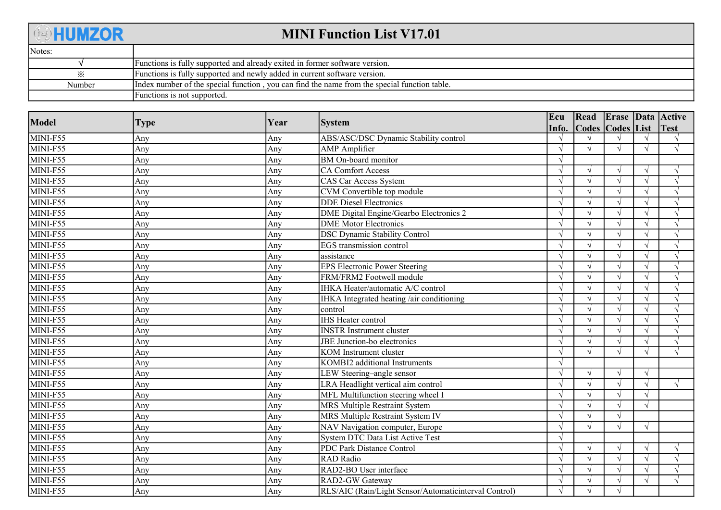| <b>EDHUMZOR</b> | <b>MINI Function List V17.01</b>                                                             |
|-----------------|----------------------------------------------------------------------------------------------|
| Notes:          |                                                                                              |
|                 | Functions is fully supported and already exited in former software version.                  |
|                 | Functions is fully supported and newly added in current software version.                    |
| Number          | Index number of the special function, you can find the name from the special function table. |
|                 | Functions is not supported.                                                                  |

| Model    | <b>Type</b> | Year | <b>System</b>                                         | Ecu        |                  |               |            | Read   Erase   Data   Active |
|----------|-------------|------|-------------------------------------------------------|------------|------------------|---------------|------------|------------------------------|
|          |             |      |                                                       | Info.      | Codes Codes List |               |            | Test                         |
| MINI-F55 | Any         | Any  | ABS/ASC/DSC Dynamic Stability control                 |            |                  |               |            |                              |
| MINI-F55 | Any         | Any  | <b>AMP</b> Amplifier                                  | $\sqrt{ }$ | $\sqrt{ }$       | $\sqrt{ }$    |            | $\sqrt{ }$                   |
| MINI-F55 | Any         | Any  | BM On-board monitor                                   | $\sqrt{ }$ |                  |               |            |                              |
| MINI-F55 | Any         | Any  | <b>CA Comfort Access</b>                              |            |                  | $\sqrt{ }$    |            |                              |
| MINI-F55 | Any         | Any  | CAS Car Access System                                 |            |                  | $\sqrt{ }$    |            | $\sqrt{ }$                   |
| MINI-F55 | Any         | Any  | CVM Convertible top module                            |            |                  | $\mathcal{N}$ |            |                              |
| MINI-F55 | Any         | Any  | <b>DDE</b> Diesel Electronics                         |            |                  | $\sqrt{ }$    |            |                              |
| MINI-F55 | Any         | Any  | DME Digital Engine/Gearbo Electronics 2               |            |                  | $\sqrt{ }$    |            | $\sqrt{ }$                   |
| MINI-F55 | Any         | Any  | <b>DME</b> Motor Electronics                          | $\sqrt{ }$ |                  | $\sqrt{ }$    |            | $\sqrt{ }$                   |
| MINI-F55 | Any         | Any  | <b>DSC Dynamic Stability Control</b>                  |            |                  | $\sqrt{ }$    |            |                              |
| MINI-F55 | Any         | Any  | EGS transmission control                              |            |                  | $\sqrt{ }$    |            |                              |
| MINI-F55 | Any         | Any  | assistance                                            | $\sqrt{ }$ |                  | $\sqrt{ }$    |            | $\sqrt{ }$                   |
| MINI-F55 | Any         | Anv  | <b>EPS Electronic Power Steering</b>                  |            |                  | $\sqrt{ }$    |            | $\sqrt{ }$                   |
| MINI-F55 | Any         | Any  | FRM/FRM2 Footwell module                              |            |                  | $\sqrt{ }$    |            |                              |
| MINI-F55 | Any         | Any  | IHKA Heater/automatic A/C control                     |            |                  | $\sqrt{ }$    |            |                              |
| MINI-F55 | Any         | Any  | IHKA Integrated heating /air conditioning             | $\sqrt{ }$ |                  | $\sqrt{ }$    |            |                              |
| MINI-F55 | Any         | Any  | control                                               |            |                  | $\mathcal{N}$ |            |                              |
| MINI-F55 | Any         | Any  | <b>IHS</b> Heater control                             |            |                  | $\sqrt{ }$    |            |                              |
| MINI-F55 | Any         | Any  | <b>INSTR Instrument cluster</b>                       |            |                  | $\sqrt{ }$    |            | $\sqrt{ }$                   |
| MINI-F55 | Any         | Any  | JBE Junction-bo electronics                           |            |                  | $\sqrt{ }$    |            | $\sqrt{ }$                   |
| MINI-F55 | Any         | Any  | KOM Instrument cluster                                |            |                  | $\sqrt{ }$    |            |                              |
| MINI-F55 | Any         | Any  | KOMBI2 additional Instruments                         |            |                  |               |            |                              |
| MINI-F55 | Any         | Any  | LEW Steering-angle sensor                             | $\sqrt{ }$ |                  | $\sqrt{ }$    | N          |                              |
| MINI-F55 | Any         | Any  | LRA Headlight vertical aim control                    |            |                  | $\sqrt{ }$    |            | $\sqrt{ }$                   |
| MINI-F55 | Any         | Any  | MFL Multifunction steering wheel I                    | $\sqrt{ }$ |                  | $\sqrt{ }$    |            |                              |
| MINI-F55 | Any         | Any  | MRS Multiple Restraint System                         | $\sqrt{ }$ |                  | $\sqrt{ }$    | N          |                              |
| MINI-F55 | Any         | Any  | MRS Multiple Restraint System IV                      | $\sqrt{ }$ |                  | $\sqrt{ }$    |            |                              |
| MINI-F55 | Any         | Any  | NAV Navigation computer, Europe                       | $\sqrt{ }$ |                  | $\sqrt{ }$    | $\sqrt{ }$ |                              |
| MINI-F55 | Any         | Any  | System DTC Data List Active Test                      |            |                  |               |            |                              |
| MINI-F55 | Any         | Any  | PDC Park Distance Control                             |            |                  | $\sqrt{ }$    |            | $\sqrt{ }$                   |
| MINI-F55 | Any         | Any  | RAD Radio                                             |            |                  | $\sqrt{ }$    |            | $\sqrt{ }$                   |
| MINI-F55 | Any         | Any  | RAD2-BO User interface                                |            |                  | $\sqrt{ }$    |            |                              |
| MINI-F55 | Any         | Any  | RAD2-GW Gateway                                       |            |                  | $\sqrt{ }$    |            | $\sqrt{ }$                   |
| MINI-F55 | Any         | Any  | RLS/AIC (Rain/Light Sensor/Automaticinterval Control) | $\sqrt{ }$ |                  | $\mathcal{N}$ |            |                              |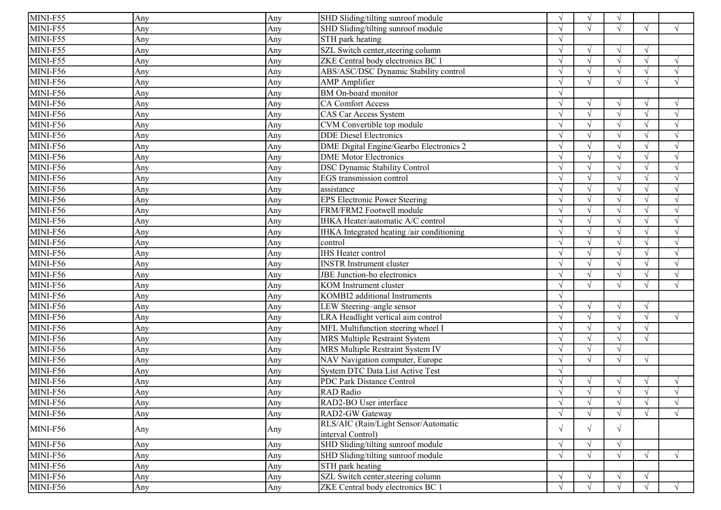| MINI-F55                      | Any | Any | SHD Sliding/tilting sunroof module        | $\sqrt{ }$ |            | $\sqrt{ }$ |            |            |
|-------------------------------|-----|-----|-------------------------------------------|------------|------------|------------|------------|------------|
| MINI-F55                      | Any | Any | SHD Sliding/tilting sunroof module        | $\sqrt{ }$ |            | $\sqrt{ }$ | $\sqrt{ }$ | $\sqrt{ }$ |
| MINI-F55                      | Any | Any | STH park heating                          |            |            |            |            |            |
| MINI-F55                      | Any | Any | SZL Switch center, steering column        | $\sqrt{ }$ |            | $\sqrt{ }$ | $\sqrt{ }$ |            |
| MINI-F55                      | Any | Any | ZKE Central body electronics BC 1         |            |            | $\sqrt{ }$ |            | $\sqrt{ }$ |
| MINI-F56                      | Any | Any | ABS/ASC/DSC Dynamic Stability control     |            |            | $\sqrt{ }$ |            | $\sqrt{ }$ |
| MINI-F56                      | Any | Any | <b>AMP</b> Amplifier                      | $\Delta$   |            | $\sqrt{ }$ |            | $\sqrt{ }$ |
| MINI-F56                      | Any | Any | <b>BM</b> On-board monitor                |            |            |            |            |            |
| MINI-F56                      | Any | Any | <b>CA Comfort Access</b>                  | $\sqrt{ }$ |            | $\sqrt{ }$ |            | $\sqrt{ }$ |
| MINI-F56                      | Any | Any | <b>CAS Car Access System</b>              | $\sqrt{ }$ |            | $\sqrt{ }$ |            | $\sqrt{ }$ |
| MINI-F56                      | Any | Any | CVM Convertible top module                |            |            | $\sqrt{ }$ |            |            |
| $\overline{\text{MINI-F56}}$  | Any | Any | <b>DDE</b> Diesel Electronics             | $\sqrt{ }$ |            | $\sqrt{ }$ |            | $\sqrt{ }$ |
| MINI-F56                      | Any | Any | DME Digital Engine/Gearbo Electronics 2   | $\sqrt{ }$ |            | $\sqrt{ }$ |            | $\sqrt{ }$ |
| MINI-F56                      | Any | Any | <b>DME</b> Motor Electronics              |            |            | $\sqrt{ }$ |            |            |
| MINI-F56                      | Any | Any | <b>DSC Dynamic Stability Control</b>      |            |            | $\sqrt{ }$ |            | $\sqrt{ }$ |
| MINI-F56                      | Any | Any | <b>EGS</b> transmission control           |            |            | $\sqrt{ }$ |            | $\sqrt{ }$ |
| MINI-F56                      | Any | Any | assistance                                |            |            | $\sqrt{ }$ |            |            |
| MINI-F56                      | Any | Any | <b>EPS Electronic Power Steering</b>      | $\sqrt{ }$ |            | $\sqrt{ }$ |            | $\sqrt{ }$ |
| MINI-F56                      | Any | Any | FRM/FRM2 Footwell module                  | $\sqrt{ }$ |            | $\sqrt{ }$ |            | $\sqrt{ }$ |
| MINI-F56                      | Any | Any | IHKA Heater/automatic A/C control         |            |            | $\sqrt{ }$ |            |            |
| MINI-F56                      | Any | Any | IHKA Integrated heating /air conditioning | $\sqrt{ }$ |            | $\sqrt{ }$ |            | $\sqrt{ }$ |
| $\overline{\text{MINI}}$ -F56 | Any | Any | control                                   | $\sqrt{ }$ |            | $\sqrt{ }$ |            | $\sqrt{ }$ |
| $\overline{\text{MINI-F}}$ 56 | Any | Any | <b>IHS</b> Heater control                 | $\sqrt{ }$ |            | $\sqrt{ }$ |            | $\sqrt{ }$ |
| MINI-F56                      | Any | Any | <b>INSTR Instrument cluster</b>           | $\sqrt{ }$ |            | $\sqrt{ }$ |            | $\sqrt{ }$ |
| MINI-F56                      | Any | Any | JBE Junction-bo electronics               | $\sqrt{ }$ |            | $\sqrt{ }$ |            | $\sqrt{ }$ |
| $\overline{\text{MINI}}$ -F56 | Any | Any | <b>KOM</b> Instrument cluster             | $\sqrt{ }$ |            | $\sqrt{ }$ |            | $\sqrt{ }$ |
| MINI-F56                      | Any | Any | KOMBI2 additional Instruments             |            |            |            |            |            |
| MINI-F56                      | Any | Any | LEW Steering-angle sensor                 |            |            | $\sqrt{ }$ | $\sqrt{ }$ |            |
| MINI-F56                      | Any | Any | LRA Headlight vertical aim control        | $\gamma$   |            | $\sqrt{ }$ | $\sqrt{ }$ | $\sqrt{ }$ |
| MINI-F56                      | Any | Any | MFL Multifunction steering wheel I        |            |            | $\sqrt{ }$ | $\sqrt{ }$ |            |
| MINI-F56                      | Any | Any | <b>MRS Multiple Restraint System</b>      |            |            | $\sqrt{ }$ | $\sqrt{ }$ |            |
| MINI-F56                      | Any | Any | MRS Multiple Restraint System IV          |            |            | $\sqrt{ }$ |            |            |
| MINI-F56                      | Any | Any | NAV Navigation computer, Europe           |            |            | $\sqrt{ }$ | $\sqrt{ }$ |            |
| MINI-F56                      | Any | Any | System DTC Data List Active Test          |            |            |            |            |            |
| $\overline{\text{MINI-F56}}$  | Any | Any | PDC Park Distance Control                 | $\sqrt{ }$ |            | $\sqrt{ }$ | V          | $\sqrt{ }$ |
| MINI-F56                      | Any | Any | <b>RAD</b> Radio                          | $\sqrt{ }$ |            | $\sqrt{ }$ |            |            |
| $\overline{\text{MINI}}$ -F56 | Any | Any | RAD2-BO User interface                    | $\sqrt{ }$ | $\sqrt{ }$ | $\sqrt{ }$ | $\sqrt{ }$ | $\sqrt{ }$ |
| MINI-F56                      | Any | Any | RAD2-GW Gateway                           | $\sqrt{ }$ |            | $\sqrt{ }$ |            | $\sqrt{ }$ |
| MINI-F56                      |     |     | RLS/AIC (Rain/Light Sensor/Automatic      | $\sqrt{ }$ | $\sqrt{ }$ | $\sqrt{ }$ |            |            |
|                               | Any | Any | interval Control)                         |            |            |            |            |            |
| MINI-F56                      | Any | Any | SHD Sliding/tilting sunroof module        | $\sqrt{ }$ |            | $\sqrt{ }$ |            |            |
| MINI-F56                      | Any | Any | SHD Sliding/tilting sunroof module        | $\sqrt{ }$ |            | $\sqrt{ }$ | $\sqrt{ }$ | $\sqrt{ }$ |
| MINI-F56                      | Any | Any | STH park heating                          |            |            |            |            |            |
| MINI-F56                      | Any | Any | SZL Switch center, steering column        | $\sqrt{ }$ |            | $\sqrt{ }$ | $\sqrt{ }$ |            |
| MINI-F56                      | Any | Any | ZKE Central body electronics BC 1         | $\sqrt{ }$ |            | $\sqrt{ }$ | $\sqrt{ }$ | $\sqrt{ }$ |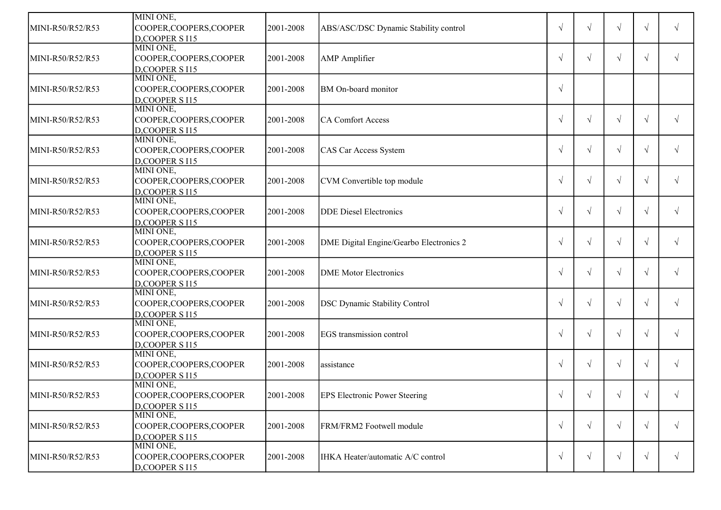|                  | MINI ONE,                   |           |                                         |            |            |            |            |            |
|------------------|-----------------------------|-----------|-----------------------------------------|------------|------------|------------|------------|------------|
| MINI-R50/R52/R53 | COOPER, COOPERS, COOPER     | 2001-2008 | ABS/ASC/DSC Dynamic Stability control   | $\sqrt{ }$ |            | $\sqrt{ }$ | $\sqrt{ }$ |            |
|                  | D,COOPER S I15              |           |                                         |            |            |            |            |            |
|                  | MINI ONE,                   |           |                                         |            |            |            |            |            |
| MINI-R50/R52/R53 | COOPER, COOPERS, COOPER     | 2001-2008 | <b>AMP</b> Amplifier                    | $\sqrt{ }$ | $\sqrt{ }$ | $\sqrt{ }$ | $\sqrt{ }$ | $\sqrt{ }$ |
|                  | D,COOPER S I15              |           |                                         |            |            |            |            |            |
|                  | MINI ONE,                   |           |                                         |            |            |            |            |            |
| MINI-R50/R52/R53 | COOPER, COOPERS, COOPER     | 2001-2008 | BM On-board monitor                     | $\sqrt{ }$ |            |            |            |            |
|                  | D,COOPER S I15              |           |                                         |            |            |            |            |            |
|                  | MINI ONE,                   |           |                                         |            |            |            |            |            |
| MINI-R50/R52/R53 | COOPER, COOPERS, COOPER     | 2001-2008 | <b>CA Comfort Access</b>                | $\sqrt{ }$ | $\sqrt{ }$ | $\sqrt{ }$ | $\sqrt{ }$ | $\sqrt{ }$ |
|                  | D,COOPER S I15              |           |                                         |            |            |            |            |            |
|                  | MINI ONE,                   |           |                                         |            |            |            |            |            |
| MINI-R50/R52/R53 | COOPER, COOPERS, COOPER     | 2001-2008 | CAS Car Access System                   | $\sqrt{ }$ | $\sqrt{ }$ | $\sqrt{ }$ | $\sqrt{ }$ | $\sqrt{ }$ |
|                  | D,COOPER S I15              |           |                                         |            |            |            |            |            |
|                  | MINI ONE,                   |           |                                         |            |            |            |            |            |
| MINI-R50/R52/R53 | COOPER, COOPERS, COOPER     | 2001-2008 | CVM Convertible top module              | $\sqrt{ }$ | $\sqrt{ }$ | $\sqrt{ }$ | $\sqrt{ }$ |            |
|                  | D,COOPER S I15              |           |                                         |            |            |            |            |            |
|                  | MINI ONE,                   |           |                                         |            |            |            |            |            |
| MINI-R50/R52/R53 | COOPER, COOPERS, COOPER     | 2001-2008 | <b>DDE</b> Diesel Electronics           | $\sqrt{ }$ | $\sqrt{}$  | $\sqrt{}$  | $\sqrt{ }$ |            |
|                  | D,COOPER S I15              |           |                                         |            |            |            |            |            |
|                  | MINI ONE,                   |           |                                         |            |            |            |            |            |
| MINI-R50/R52/R53 | COOPER, COOPERS, COOPER     | 2001-2008 | DME Digital Engine/Gearbo Electronics 2 | $\sqrt{ }$ | √          | $\sqrt{}$  | $\sqrt{ }$ |            |
|                  | D,COOPER S I15              |           |                                         |            |            |            |            |            |
|                  | MINI ONE,                   |           |                                         |            |            |            |            |            |
| MINI-R50/R52/R53 | COOPER, COOPERS, COOPER     | 2001-2008 | <b>DME</b> Motor Electronics            | $\sqrt{ }$ | $\sqrt{}$  | V          | $\sqrt{ }$ |            |
|                  | D,COOPER S I15              |           |                                         |            |            |            |            |            |
|                  | MINI ONE,                   |           |                                         |            |            |            |            |            |
| MINI-R50/R52/R53 | COOPER,COOPERS,COOPER       | 2001-2008 | <b>DSC Dynamic Stability Control</b>    | $\sqrt{ }$ | $\sqrt{}$  | V          | $\sqrt{ }$ |            |
|                  | D,COOPER S I15              |           |                                         |            |            |            |            |            |
|                  | MINI ONE,                   |           |                                         |            |            |            |            |            |
| MINI-R50/R52/R53 | COOPER,COOPERS,COOPER       | 2001-2008 | EGS transmission control                | $\sqrt{ }$ | $\sqrt{ }$ | $\sqrt{ }$ | $\sqrt{ }$ |            |
|                  | D,COOPER S I15<br>MINI ONE, |           |                                         |            |            |            |            |            |
|                  |                             |           |                                         |            |            |            |            |            |
| MINI-R50/R52/R53 | COOPER, COOPERS, COOPER     | 2001-2008 | assistance                              | $\sqrt{ }$ | √          | $\sqrt{}$  |            |            |
|                  | D,COOPER S I15              |           |                                         |            |            |            |            |            |
|                  | MINI ONE,                   |           |                                         |            |            |            |            |            |
| MINI-R50/R52/R53 | COOPER, COOPERS, COOPER     | 2001-2008 | <b>EPS Electronic Power Steering</b>    | $\sqrt{ }$ | $\sqrt{ }$ | $\sqrt{ }$ |            |            |
|                  | D, COOPER S I15             |           |                                         |            |            |            |            |            |
|                  | MINI ONE,                   |           |                                         |            |            |            |            |            |
| MINI-R50/R52/R53 | COOPER, COOPERS, COOPER     | 2001-2008 | FRM/FRM2 Footwell module                | $\sqrt{ }$ | $\sqrt{ }$ | $\sqrt{}$  | $\sqrt{}$  | $\sqrt{ }$ |
|                  | $D$ , COOPER S $I15$        |           |                                         |            |            |            |            |            |
|                  | MINI ONE,                   |           |                                         |            |            |            |            |            |
| MINI-R50/R52/R53 | COOPER, COOPERS, COOPER     | 2001-2008 | IHKA Heater/automatic A/C control       | $\sqrt{ }$ | $\sqrt{ }$ | $\sqrt{}$  | $\sqrt{ }$ | $\sqrt{ }$ |
|                  | $D$ , COOPER S I15          |           |                                         |            |            |            |            |            |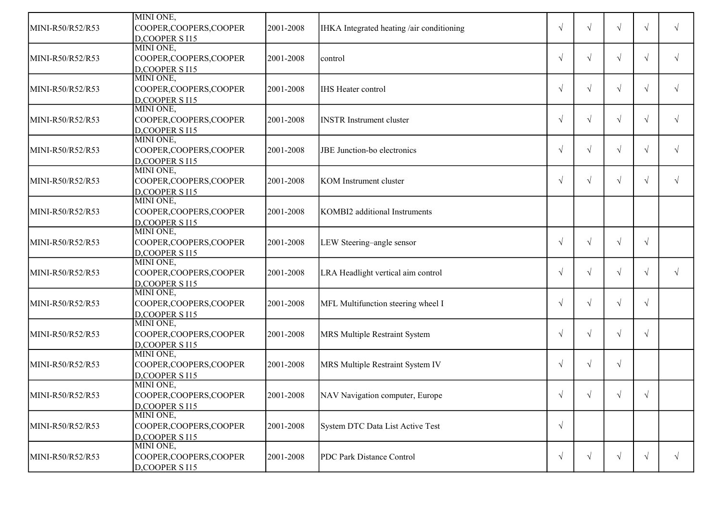|                  | MINI ONE,               |           |                                           |            |            |            |            |            |
|------------------|-------------------------|-----------|-------------------------------------------|------------|------------|------------|------------|------------|
| MINI-R50/R52/R53 | COOPER, COOPERS, COOPER | 2001-2008 | IHKA Integrated heating /air conditioning | $\sqrt{ }$ |            |            | $\sqrt{ }$ |            |
|                  | D,COOPER S I15          |           |                                           |            |            |            |            |            |
|                  | MINI ONE,               |           |                                           |            |            |            |            |            |
| MINI-R50/R52/R53 | COOPER, COOPERS, COOPER | 2001-2008 | control                                   | $\sqrt{ }$ | $\sqrt{ }$ | $\sqrt{}$  | $\sqrt{ }$ | $\sqrt{ }$ |
|                  | D,COOPER S I15          |           |                                           |            |            |            |            |            |
|                  | MINI ONE,               |           |                                           |            |            |            |            |            |
| MINI-R50/R52/R53 | COOPER, COOPERS, COOPER | 2001-2008 | <b>IHS</b> Heater control                 | $\sqrt{ }$ | $\sqrt{ }$ | $\sqrt{}$  | $\sqrt{ }$ | $\sqrt{ }$ |
|                  | D,COOPER S I15          |           |                                           |            |            |            |            |            |
|                  | MINI ONE,               |           |                                           |            |            |            |            |            |
| MINI-R50/R52/R53 | COOPER, COOPERS, COOPER | 2001-2008 | <b>INSTR</b> Instrument cluster           | $\sqrt{ }$ | $\sqrt{ }$ | $\sqrt{ }$ | $\sqrt{ }$ | $\sqrt{ }$ |
|                  | D,COOPER S I15          |           |                                           |            |            |            |            |            |
|                  | MINI ONE,               |           |                                           |            |            |            |            |            |
| MINI-R50/R52/R53 | COOPER, COOPERS, COOPER | 2001-2008 | JBE Junction-bo electronics               | $\sqrt{ }$ | $\sqrt{ }$ | $\sqrt{ }$ | $\sqrt{ }$ | $\sqrt{ }$ |
|                  | D,COOPER S I15          |           |                                           |            |            |            |            |            |
|                  | MINI ONE,               |           |                                           |            |            |            |            |            |
| MINI-R50/R52/R53 | COOPER, COOPERS, COOPER | 2001-2008 | <b>KOM</b> Instrument cluster             | $\sqrt{ }$ | $\sqrt{ }$ | $\sqrt{}$  | $\sqrt{ }$ |            |
|                  | D,COOPER S I15          |           |                                           |            |            |            |            |            |
|                  | MINI ONE,               |           |                                           |            |            |            |            |            |
| MINI-R50/R52/R53 | COOPER, COOPERS, COOPER | 2001-2008 | KOMBI2 additional Instruments             |            |            |            |            |            |
|                  | D,COOPER S I15          |           |                                           |            |            |            |            |            |
|                  | MINI ONE,               |           |                                           |            |            |            |            |            |
| MINI-R50/R52/R53 | COOPER, COOPERS, COOPER | 2001-2008 | LEW Steering-angle sensor                 | $\sqrt{ }$ | $\sqrt{}$  | V          | $\sqrt{ }$ |            |
|                  | D,COOPER S I15          |           |                                           |            |            |            |            |            |
|                  | MINI ONE,               |           |                                           |            |            |            |            |            |
| MINI-R50/R52/R53 | COOPER, COOPERS, COOPER | 2001-2008 | LRA Headlight vertical aim control        | $\sqrt{ }$ | $\sqrt{ }$ | V          | $\sqrt{ }$ |            |
|                  | D,COOPER S I15          |           |                                           |            |            |            |            |            |
|                  | MINI ONE,               |           |                                           |            |            |            |            |            |
| MINI-R50/R52/R53 | COOPER, COOPERS, COOPER | 2001-2008 | MFL Multifunction steering wheel I        | $\sqrt{ }$ | $\sqrt{}$  | V          | $\sqrt{ }$ |            |
|                  | D,COOPER S I15          |           |                                           |            |            |            |            |            |
|                  | MINI ONE,               |           |                                           |            |            |            |            |            |
| MINI-R50/R52/R53 | COOPER, COOPERS, COOPER | 2001-2008 | MRS Multiple Restraint System             | $\sqrt{ }$ | $\sqrt{}$  | $\sqrt{}$  | $\sqrt{ }$ |            |
|                  | D,COOPER S I15          |           |                                           |            |            |            |            |            |
|                  | MINI ONE,               |           |                                           |            |            |            |            |            |
| MINI-R50/R52/R53 | COOPER, COOPERS, COOPER | 2001-2008 | MRS Multiple Restraint System IV          | $\sqrt{ }$ | $\sqrt{}$  | $\sqrt{}$  |            |            |
|                  | D,COOPER S I15          |           |                                           |            |            |            |            |            |
|                  | MINI ONE,               |           |                                           |            |            |            |            |            |
| MINI-R50/R52/R53 | COOPER, COOPERS, COOPER | 2001-2008 | NAV Navigation computer, Europe           | $\sqrt{ }$ | $\sqrt{ }$ | $\sqrt{}$  |            |            |
|                  | D,COOPER S I15          |           |                                           |            |            |            |            |            |
|                  | MINI ONE,               |           |                                           |            |            |            |            |            |
| MINI-R50/R52/R53 | COOPER, COOPERS, COOPER | 2001-2008 | System DTC Data List Active Test          | $\sqrt{ }$ |            |            |            |            |
|                  | $D$ , COOPER S $115$    |           |                                           |            |            |            |            |            |
|                  | MINI ONE,               |           |                                           |            |            |            |            |            |
| MINI-R50/R52/R53 | COOPER, COOPERS, COOPER | 2001-2008 | PDC Park Distance Control                 | $\sqrt{ }$ | $\sqrt{ }$ | $\sqrt{ }$ | $\sqrt{ }$ | $\sqrt{ }$ |
|                  | $D$ , COOPER S I15      |           |                                           |            |            |            |            |            |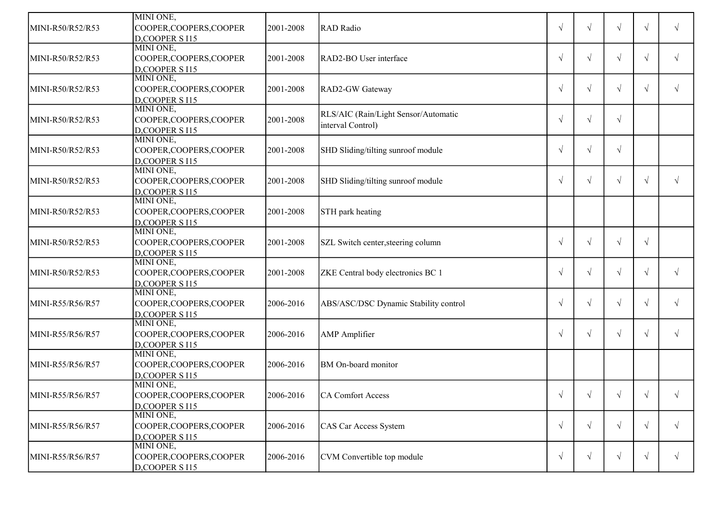|                  | MINI ONE,               |           |                                       |            |            |            |            |            |
|------------------|-------------------------|-----------|---------------------------------------|------------|------------|------------|------------|------------|
| MINI-R50/R52/R53 | COOPER, COOPERS, COOPER | 2001-2008 | <b>RAD</b> Radio                      | $\sqrt{ }$ |            | $\sqrt{ }$ | $\sqrt{ }$ |            |
|                  | D,COOPER S I15          |           |                                       |            |            |            |            |            |
|                  | MINI ONE,               |           |                                       |            |            |            |            |            |
| MINI-R50/R52/R53 | COOPER, COOPERS, COOPER | 2001-2008 | RAD2-BO User interface                | $\sqrt{ }$ | $\sqrt{ }$ | $\sqrt{ }$ | $\sqrt{ }$ | $\sqrt{ }$ |
|                  | D,COOPER S I15          |           |                                       |            |            |            |            |            |
|                  | MINI ONE,               |           |                                       |            |            |            |            |            |
| MINI-R50/R52/R53 | COOPER, COOPERS, COOPER | 2001-2008 | RAD2-GW Gateway                       | $\sqrt{ }$ | $\sqrt{ }$ | $\sqrt{ }$ | $\sqrt{ }$ |            |
|                  | D,COOPER S I15          |           |                                       |            |            |            |            |            |
|                  | MINI ONE,               |           | RLS/AIC (Rain/Light Sensor/Automatic  |            |            |            |            |            |
| MINI-R50/R52/R53 | COOPER, COOPERS, COOPER | 2001-2008 | interval Control)                     | $\sqrt{ }$ | $\sqrt{ }$ | $\sqrt{}$  |            |            |
|                  | D,COOPER S I15          |           |                                       |            |            |            |            |            |
|                  | MINI ONE,               |           |                                       |            |            |            |            |            |
| MINI-R50/R52/R53 | COOPER, COOPERS, COOPER | 2001-2008 | SHD Sliding/tilting sunroof module    | $\sqrt{ }$ | $\sqrt{ }$ | $\sqrt{}$  |            |            |
|                  | D,COOPER S I15          |           |                                       |            |            |            |            |            |
|                  | MINI ONE,               |           |                                       |            |            |            |            |            |
| MINI-R50/R52/R53 | COOPER, COOPERS, COOPER | 2001-2008 | SHD Sliding/tilting sunroof module    | $\sqrt{ }$ | $\sqrt{ }$ | $\sqrt{ }$ | $\sqrt{ }$ |            |
|                  | D,COOPER S I15          |           |                                       |            |            |            |            |            |
|                  | MINI ONE,               |           |                                       |            |            |            |            |            |
| MINI-R50/R52/R53 | COOPER, COOPERS, COOPER | 2001-2008 | STH park heating                      |            |            |            |            |            |
|                  | D,COOPER S I15          |           |                                       |            |            |            |            |            |
|                  | MINI ONE,               |           |                                       |            |            |            |            |            |
| MINI-R50/R52/R53 | COOPER, COOPERS, COOPER | 2001-2008 | SZL Switch center, steering column    | $\sqrt{ }$ | √          | $\sqrt{}$  | $\sqrt{ }$ |            |
|                  | D,COOPER S I15          |           |                                       |            |            |            |            |            |
|                  | MINI ONE,               |           |                                       |            |            |            |            |            |
| MINI-R50/R52/R53 | COOPER, COOPERS, COOPER | 2001-2008 | ZKE Central body electronics BC 1     | $\sqrt{ }$ | $\sqrt{}$  | V          | $\sqrt{ }$ |            |
|                  | D,COOPER S I15          |           |                                       |            |            |            |            |            |
|                  | MINI ONE,               |           |                                       |            |            |            |            |            |
| MINI-R55/R56/R57 | COOPER,COOPERS,COOPER   | 2006-2016 | ABS/ASC/DSC Dynamic Stability control | $\sqrt{ }$ | √          | V          | $\sqrt{ }$ |            |
|                  | D,COOPER S I15          |           |                                       |            |            |            |            |            |
|                  | MINI ONE,               |           |                                       |            |            |            |            |            |
| MINI-R55/R56/R57 | COOPER,COOPERS,COOPER   | 2006-2016 | <b>AMP</b> Amplifier                  | $\sqrt{ }$ | $\sqrt{ }$ | $\sqrt{}$  | $\sqrt{ }$ |            |
|                  | D,COOPER S I15          |           |                                       |            |            |            |            |            |
|                  | MINI ONE,               |           |                                       |            |            |            |            |            |
| MINI-R55/R56/R57 | COOPER,COOPERS,COOPER   | 2006-2016 | BM On-board monitor                   |            |            |            |            |            |
|                  | D,COOPER S I15          |           |                                       |            |            |            |            |            |
|                  | MINI ONE,               |           |                                       |            |            |            |            |            |
| MINI-R55/R56/R57 | COOPER, COOPERS, COOPER | 2006-2016 | CA Comfort Access                     | $\sqrt{ }$ | $\sqrt{ }$ | $\sqrt{}$  |            |            |
|                  | D, COOPER S I15         |           |                                       |            |            |            |            |            |
|                  | MINI ONE,               |           |                                       |            |            |            |            |            |
| MINI-R55/R56/R57 | COOPER, COOPERS, COOPER | 2006-2016 | CAS Car Access System                 | $\sqrt{ }$ | $\sqrt{ }$ | $\sqrt{}$  | $\sqrt{}$  | $\sqrt{ }$ |
|                  | D.COOPER S I15          |           |                                       |            |            |            |            |            |
|                  | MINI ONE,               |           |                                       |            |            |            |            |            |
| MINI-R55/R56/R57 | COOPER, COOPERS, COOPER | 2006-2016 | CVM Convertible top module            | $\sqrt{ }$ | $\sqrt{ }$ | $\sqrt{ }$ | $\sqrt{ }$ | $\sqrt{ }$ |
|                  | $D$ , COOPER S I15      |           |                                       |            |            |            |            |            |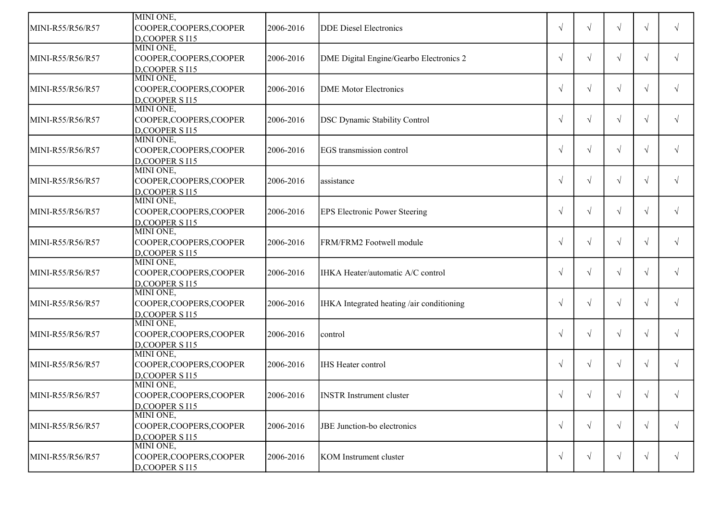| MINI-R55/R56/R57 | MINI ONE,<br>COOPER, COOPERS, COOPER | 2006-2016 | <b>DDE</b> Diesel Electronics             | $\sqrt{ }$ |            |            | $\sqrt{ }$ |            |
|------------------|--------------------------------------|-----------|-------------------------------------------|------------|------------|------------|------------|------------|
|                  | D.COOPER S I15                       |           |                                           |            |            |            |            |            |
|                  | MINI ONE,                            |           |                                           |            |            |            |            |            |
| MINI-R55/R56/R57 | COOPER, COOPERS, COOPER              | 2006-2016 | DME Digital Engine/Gearbo Electronics 2   | $\sqrt{ }$ | V          | $\sqrt{ }$ | $\sqrt{ }$ |            |
|                  | D,COOPER S I15                       |           |                                           |            |            |            |            |            |
|                  | MINI ONE,                            |           |                                           |            |            |            |            |            |
| MINI-R55/R56/R57 | COOPER, COOPERS, COOPER              | 2006-2016 | <b>DME</b> Motor Electronics              | $\sqrt{ }$ | $\sqrt{ }$ | $\sqrt{}$  | $\sqrt{ }$ |            |
|                  | D,COOPER S I15                       |           |                                           |            |            |            |            |            |
|                  | MINI ONE,                            |           |                                           |            |            |            |            |            |
| MINI-R55/R56/R57 | COOPER, COOPERS, COOPER              | 2006-2016 | <b>DSC Dynamic Stability Control</b>      | $\sqrt{ }$ | $\sqrt{}$  | V          | $\sqrt{ }$ |            |
|                  | D,COOPER S I15                       |           |                                           |            |            |            |            |            |
|                  | MINI ONE,                            |           |                                           |            |            |            |            |            |
| MINI-R55/R56/R57 | COOPER, COOPERS, COOPER              | 2006-2016 | EGS transmission control                  | $\sqrt{ }$ | $\sqrt{ }$ | $\sqrt{ }$ | $\sqrt{ }$ |            |
|                  | D,COOPER S I15                       |           |                                           |            |            |            |            |            |
|                  | MINI ONE,                            |           |                                           |            |            |            |            |            |
| MINI-R55/R56/R57 | COOPER, COOPERS, COOPER              | 2006-2016 | assistance                                | $\sqrt{ }$ | $\sqrt{ }$ | $\sqrt{ }$ | $\sqrt{ }$ | $\sqrt{ }$ |
|                  | D,COOPER S I15                       |           |                                           |            |            |            |            |            |
|                  | MINI ONE,                            |           |                                           |            |            |            |            |            |
| MINI-R55/R56/R57 | COOPER, COOPERS, COOPER              | 2006-2016 | <b>EPS Electronic Power Steering</b>      | $\sqrt{ }$ | $\sqrt{ }$ | $\sqrt{ }$ | $\sqrt{ }$ |            |
|                  | D,COOPER S I15                       |           |                                           |            |            |            |            |            |
|                  | MINI ONE,                            |           |                                           |            |            |            |            |            |
| MINI-R55/R56/R57 | COOPER, COOPERS, COOPER              | 2006-2016 | FRM/FRM2 Footwell module                  | $\sqrt{ }$ | $\sqrt{}$  | $\sqrt{}$  | $\sqrt{ }$ | $\sqrt{ }$ |
|                  | D,COOPER S I15                       |           |                                           |            |            |            |            |            |
|                  | MINI ONE,                            |           |                                           |            |            |            |            |            |
| MINI-R55/R56/R57 | COOPER, COOPERS, COOPER              | 2006-2016 | IHKA Heater/automatic A/C control         | $\sqrt{ }$ | $\sqrt{}$  | V          | $\sqrt{ }$ |            |
|                  | D,COOPER S I15                       |           |                                           |            |            |            |            |            |
|                  | MINI ONE,                            |           |                                           |            |            |            |            |            |
| MINI-R55/R56/R57 | COOPER, COOPERS, COOPER              | 2006-2016 | IHKA Integrated heating /air conditioning | $\sqrt{ }$ | $\sqrt{ }$ | V          | $\sqrt{ }$ |            |
|                  | D,COOPER S I15<br>MINI ONE,          |           |                                           |            |            |            |            |            |
| MINI-R55/R56/R57 | COOPER, COOPERS, COOPER              | 2006-2016 |                                           | $\sqrt{ }$ | $\sqrt{}$  | V          | $\sqrt{ }$ |            |
|                  | D,COOPER S I15                       |           | control                                   |            |            |            |            |            |
|                  | MINI ONE,                            |           |                                           |            |            |            |            |            |
| MINI-R55/R56/R57 | COOPER, COOPERS, COOPER              | 2006-2016 | <b>IHS Heater control</b>                 | $\sqrt{ }$ | $\sqrt{ }$ | V          | $\sqrt{ }$ |            |
|                  | D,COOPER S I15                       |           |                                           |            |            |            |            |            |
|                  | MINI ONE,                            |           |                                           |            |            |            |            |            |
| MINI-R55/R56/R57 | COOPER, COOPERS, COOPER              | 2006-2016 | <b>INSTR</b> Instrument cluster           | $\sqrt{}$  | $\sqrt{ }$ |            |            |            |
|                  | D,COOPER S I15                       |           |                                           |            |            |            |            |            |
|                  | MINI ONE,                            |           |                                           |            |            |            |            |            |
| MINI-R55/R56/R57 | COOPER, COOPERS, COOPER              | 2006-2016 | JBE Junction-bo electronics               | $\sqrt{ }$ | $\sqrt{ }$ | $\sqrt{}$  | $\sqrt{ }$ | $\sqrt{ }$ |
|                  | D,COOPER S I15                       |           |                                           |            |            |            |            |            |
|                  | MINI ONE,                            |           |                                           |            |            |            |            |            |
| MINI-R55/R56/R57 | COOPER, COOPERS, COOPER              | 2006-2016 | KOM Instrument cluster                    | $\sqrt{ }$ | $\sqrt{ }$ | $\sqrt{}$  | $\sqrt{ }$ | $\sqrt{ }$ |
|                  | $D$ , COOPER S I15                   |           |                                           |            |            |            |            |            |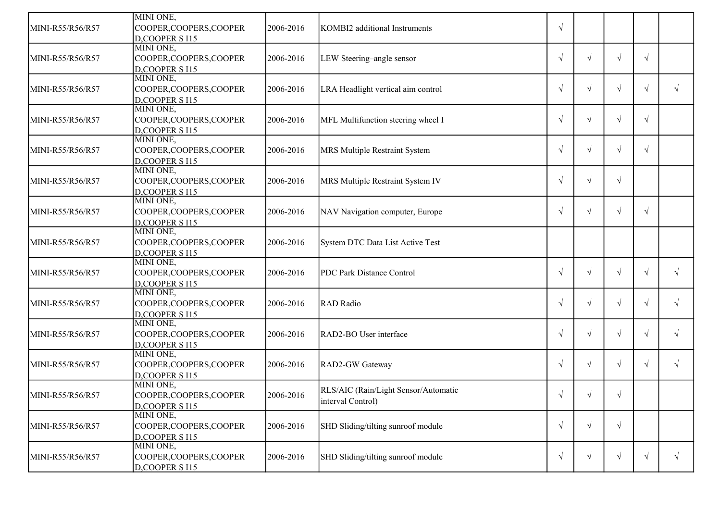|                  | MINI ONE,                   |           |                                      |            |            |            |            |            |
|------------------|-----------------------------|-----------|--------------------------------------|------------|------------|------------|------------|------------|
| MINI-R55/R56/R57 | COOPER, COOPERS, COOPER     | 2006-2016 | KOMBI2 additional Instruments        | $\sqrt{ }$ |            |            |            |            |
|                  | D,COOPER S I15              |           |                                      |            |            |            |            |            |
|                  | MINI ONE,                   |           |                                      |            |            |            |            |            |
| MINI-R55/R56/R57 | COOPER, COOPERS, COOPER     | 2006-2016 | LEW Steering-angle sensor            | $\sqrt{ }$ | $\sqrt{ }$ | $\sqrt{ }$ | $\sqrt{ }$ |            |
|                  | D,COOPER S I15              |           |                                      |            |            |            |            |            |
|                  | MINI ONE,                   |           |                                      |            |            |            |            |            |
| MINI-R55/R56/R57 | COOPER, COOPERS, COOPER     | 2006-2016 | LRA Headlight vertical aim control   | $\sqrt{ }$ | $\sqrt{ }$ | $\sqrt{ }$ | $\sqrt{}$  | $\sqrt{ }$ |
|                  | D,COOPER S I15              |           |                                      |            |            |            |            |            |
|                  | MINI ONE,                   |           |                                      |            |            |            |            |            |
| MINI-R55/R56/R57 | COOPER, COOPERS, COOPER     | 2006-2016 | MFL Multifunction steering wheel I   | $\sqrt{ }$ | $\sqrt{ }$ | $\sqrt{ }$ | $\sqrt{ }$ |            |
|                  | D,COOPER S I15              |           |                                      |            |            |            |            |            |
|                  | MINI ONE,                   |           |                                      |            |            |            |            |            |
| MINI-R55/R56/R57 | COOPER, COOPERS, COOPER     | 2006-2016 | MRS Multiple Restraint System        | $\sqrt{ }$ | $\sqrt{ }$ | $\sqrt{ }$ | $\sqrt{ }$ |            |
|                  | D,COOPER S I15              |           |                                      |            |            |            |            |            |
|                  | MINI ONE,                   |           |                                      |            |            |            |            |            |
| MINI-R55/R56/R57 | COOPER, COOPERS, COOPER     | 2006-2016 | MRS Multiple Restraint System IV     | $\sqrt{ }$ | $\sqrt{ }$ | $\sqrt{ }$ |            |            |
|                  | D,COOPER S I15              |           |                                      |            |            |            |            |            |
|                  | MINI ONE,                   |           |                                      |            |            |            |            |            |
| MINI-R55/R56/R57 | COOPER, COOPERS, COOPER     | 2006-2016 | NAV Navigation computer, Europe      | $\sqrt{ }$ | $\sqrt{ }$ | $\sqrt{ }$ | $\sqrt{ }$ |            |
|                  | D,COOPER S I15              |           |                                      |            |            |            |            |            |
|                  | MINI ONE,                   |           |                                      |            |            |            |            |            |
| MINI-R55/R56/R57 | COOPER, COOPERS, COOPER     | 2006-2016 | System DTC Data List Active Test     |            |            |            |            |            |
|                  | D,COOPER S I15              |           |                                      |            |            |            |            |            |
|                  | MINI ONE,                   |           |                                      |            |            |            |            |            |
| MINI-R55/R56/R57 | COOPER, COOPERS, COOPER     | 2006-2016 | PDC Park Distance Control            | $\sqrt{ }$ | $\sqrt{ }$ | $\sqrt{ }$ | $\sqrt{}$  | $\sqrt{ }$ |
|                  | D,COOPER S I15              |           |                                      |            |            |            |            |            |
|                  | MINI ONE,                   |           |                                      |            |            |            |            |            |
| MINI-R55/R56/R57 | COOPER, COOPERS, COOPER     | 2006-2016 | <b>RAD</b> Radio                     | $\sqrt{ }$ | $\sqrt{ }$ | $\sqrt{ }$ | $\sqrt{ }$ | $\sqrt{ }$ |
|                  | D,COOPER S I15              |           |                                      |            |            |            |            |            |
|                  | MINI ONE,                   |           |                                      |            |            |            |            |            |
| MINI-R55/R56/R57 | COOPER, COOPERS, COOPER     | 2006-2016 | RAD2-BO User interface               | $\sqrt{ }$ | $\sqrt{ }$ | $\sqrt{ }$ | V          | $\sqrt{ }$ |
|                  | D,COOPER S I15              |           |                                      |            |            |            |            |            |
|                  | MINI ONE,                   |           |                                      |            |            |            |            |            |
| MINI-R55/R56/R57 | COOPER, COOPERS, COOPER     | 2006-2016 | RAD2-GW Gateway                      | $\sqrt{ }$ | $\sqrt{ }$ | $\sqrt{ }$ | V          | $\sqrt{ }$ |
|                  | D,COOPER S I15              |           |                                      |            |            |            |            |            |
|                  | MINI ONE,                   |           | RLS/AIC (Rain/Light Sensor/Automatic |            |            |            |            |            |
| MINI-R55/R56/R57 | COOPER, COOPERS, COOPER     | 2006-2016 | interval Control)                    | $\sqrt{ }$ | $\sqrt{ }$ |            |            |            |
|                  | D,COOPER S I15<br>MINI ONE, |           |                                      |            |            |            |            |            |
|                  |                             |           |                                      |            |            |            |            |            |
| MINI-R55/R56/R57 | COOPER, COOPERS, COOPER     | 2006-2016 | SHD Sliding/tilting sunroof module   | $\sqrt{ }$ | $\sqrt{ }$ | $\sqrt{ }$ |            |            |
|                  | D,COOPER S I15<br>MINI ONE, |           |                                      |            |            |            |            |            |
|                  |                             |           |                                      |            |            | $\sqrt{ }$ |            | $\sqrt{ }$ |
| MINI-R55/R56/R57 | COOPER,COOPERS,COOPER       | 2006-2016 | SHD Sliding/tilting sunroof module   | $\sqrt{ }$ | $\sqrt{ }$ |            | $\sqrt{ }$ |            |
|                  | D,COOPER S I15              |           |                                      |            |            |            |            |            |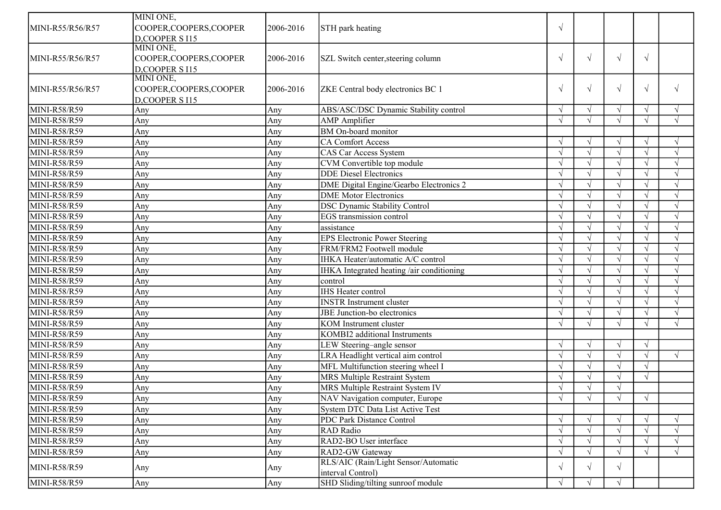|                                  | MINI ONE,               |           |                                           |            |            |            |            |                          |
|----------------------------------|-------------------------|-----------|-------------------------------------------|------------|------------|------------|------------|--------------------------|
| MINI-R55/R56/R57                 | COOPER, COOPERS, COOPER | 2006-2016 | STH park heating                          | $\sqrt{ }$ |            |            |            |                          |
|                                  | D,COOPER S I15          |           |                                           |            |            |            |            |                          |
|                                  | MINI ONE,               |           |                                           |            |            |            |            |                          |
| MINI-R55/R56/R57                 | COOPER, COOPERS, COOPER | 2006-2016 | SZL Switch center, steering column        | $\sqrt{ }$ | $\sqrt{ }$ | $\sqrt{ }$ | $\sqrt{ }$ |                          |
|                                  | D,COOPER S I15          |           |                                           |            |            |            |            |                          |
|                                  | MINI ONE,               |           |                                           |            |            |            |            |                          |
| MINI-R55/R56/R57                 | COOPER, COOPERS, COOPER | 2006-2016 | ZKE Central body electronics BC 1         | $\sqrt{ }$ | $\sqrt{}$  | $\sqrt{ }$ | $\sqrt{ }$ | $\sqrt{ }$               |
|                                  | D,COOPER S I15          |           |                                           |            |            |            |            |                          |
| MINI-R58/R59                     | Any                     | Any       | ABS/ASC/DSC Dynamic Stability control     | $\sqrt{ }$ |            | $\sqrt{ }$ |            |                          |
| <b>MINI-R58/R59</b>              | Any                     | Any       | <b>AMP</b> Amplifier                      | $\sqrt{ }$ |            | $\sqrt{ }$ |            | $\sqrt{ }$               |
| <b>MINI-R58/R59</b>              | Any                     | Any       | <b>BM</b> On-board monitor                |            |            |            |            |                          |
| MINI-R58/R59                     | Any                     | Any       | <b>CA Comfort Access</b>                  |            |            | $\sqrt{ }$ |            |                          |
| MINI-R58/R59                     | Any                     | Any       | <b>CAS Car Access System</b>              |            |            | $\sqrt{ }$ |            | $\mathcal{N}$            |
| MINI-R58/R59                     | Any                     | Any       | CVM Convertible top module                |            |            | $\sqrt{ }$ |            |                          |
| MINI-R58/R59                     | Any                     | Any       | <b>DDE</b> Diesel Electronics             |            |            | N          |            |                          |
| MINI-R58/R59                     | Any                     | Any       | DME Digital Engine/Gearbo Electronics 2   |            |            | $\sqrt{ }$ |            | $\sqrt{ }$               |
| MINI-R58/R59                     | Any                     | Any       | <b>DME</b> Motor Electronics              | $\sqrt{ }$ |            | $\sqrt{ }$ |            | $\sqrt{ }$               |
| MINI-R58/R59                     | Any                     | Any       | <b>DSC Dynamic Stability Control</b>      |            |            | $\sqrt{ }$ |            |                          |
| MINI-R58/R59                     | Any                     | Any       | EGS transmission control                  |            |            | $\sqrt{ }$ |            | $\overline{\mathcal{N}}$ |
| <b>MINI-R58/R59</b>              | Any                     | Any       | assistance                                | $\sqrt{ }$ |            | $\sqrt{ }$ |            | $\mathcal{N}$            |
| <b>MINI-R58/R59</b>              | Any                     | Any       | <b>EPS Electronic Power Steering</b>      |            |            | $\sqrt{ }$ |            |                          |
| MINI-R58/R59                     | Any                     | Any       | FRM/FRM2 Footwell module                  |            |            | $\sqrt{ }$ |            | $\sim$                   |
| <b>MINI-R58/R59</b>              | Any                     | Any       | IHKA Heater/automatic A/C control         |            |            | $\sqrt{ }$ |            |                          |
| <b>MINI-R58/R59</b>              | Any                     | Any       | IHKA Integrated heating /air conditioning |            |            | $\sqrt{ }$ |            |                          |
| MINI-R58/R59                     | Any                     | Any       | control                                   |            |            | $\sqrt{ }$ |            |                          |
| MINI-R58/R59                     | Any                     | Any       | <b>IHS Heater control</b>                 |            |            | $\sqrt{ }$ |            |                          |
| $\overline{\text{MINI-R58/R59}}$ | Any                     | Any       | <b>INSTR Instrument cluster</b>           |            |            | $\sqrt{ }$ |            |                          |
| MINI-R58/R59                     | Any                     | Any       | JBE Junction-bo electronics               |            |            | $\sqrt{ }$ |            | $\sqrt{ }$               |
| MINI-R58/R59                     | Any                     | Any       | KOM Instrument cluster                    | $\sqrt{ }$ |            | $\sqrt{ }$ |            | $\mathcal{N}$            |
| MINI-R58/R59                     | Any                     | Any       | KOMBI2 additional Instruments             |            |            |            |            |                          |
| MINI-R58/R59                     | Any                     | Any       | LEW Steering-angle sensor                 | $\sqrt{ }$ |            | $\sqrt{ }$ | $\sqrt{ }$ |                          |
| MINI-R58/R59                     | Any                     | Any       | LRA Headlight vertical aim control        | $\sqrt{ }$ |            | $\sqrt{ }$ | $\sqrt{ }$ | $\sqrt{ }$               |
| <b>MINI-R58/R59</b>              | Any                     | Any       | MFL Multifunction steering wheel I        |            |            | $\sqrt{ }$ |            |                          |
| <b>MINI-R58/R59</b>              | Any                     | Any       | MRS Multiple Restraint System             |            |            | $\sqrt{ }$ |            |                          |
| <b>MINI-R58/R59</b>              | Any                     | Any       | MRS Multiple Restraint System IV          |            |            | N          |            |                          |
| MINI-R58/R59                     | Any                     | Any       | NAV Navigation computer, Europe           | $\sqrt{ }$ | $\sqrt{ }$ | $\sqrt{ }$ | $\sqrt{ }$ |                          |
| MINI-R58/R59                     | Any                     | Any       | System DTC Data List Active Test          |            |            |            |            |                          |
| MINI-R58/R59                     | Any                     | Any       | PDC Park Distance Control                 | $\sqrt{ }$ |            | $\sqrt{ }$ |            | $\sqrt{ }$               |
| MINI-R58/R59                     | Any                     | Any       | <b>RAD</b> Radio                          |            |            | $\sqrt{ }$ |            |                          |
| MINI-R58/R59                     | Any                     | Any       | RAD2-BO User interface                    |            |            |            |            |                          |
| MINI-R58/R59                     | Any                     | Any       | RAD2-GW Gateway                           | $\sqrt{ }$ |            | $\sqrt{ }$ |            | $\sqrt{ }$               |
|                                  |                         |           | RLS/AIC (Rain/Light Sensor/Automatic      |            |            |            |            |                          |
| MINI-R58/R59                     | Any                     | Any       | interval Control)                         | $\sqrt{ }$ | $\sqrt{ }$ | $\sqrt{ }$ |            |                          |
| MINI-R58/R59                     | Any                     | Any       | SHD Sliding/tilting sunroof module        | $\sqrt{ }$ |            | $\sqrt{ }$ |            |                          |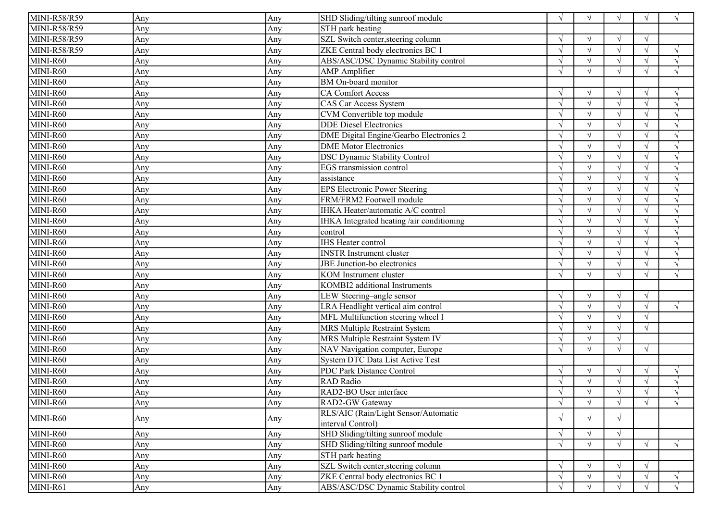| MINI-R58/R59                 | Any | Any | SHD Sliding/tilting sunroof module        | $\sqrt{ }$    |            | $\sqrt{ }$ | $\sqrt{ }$ | $\sqrt{ }$ |
|------------------------------|-----|-----|-------------------------------------------|---------------|------------|------------|------------|------------|
| <b>MINI-R58/R59</b>          | Any | Any | STH park heating                          |               |            |            |            |            |
| MINI-R58/R59                 | Any | Any | SZL Switch center, steering column        |               |            | $\sqrt{ }$ | $\sqrt{ }$ |            |
| MINI-R58/R59                 | Any | Any | ZKE Central body electronics BC 1         |               |            | $\sqrt{ }$ |            | $\sqrt{ }$ |
| MINI-R60                     | Any | Any | ABS/ASC/DSC Dynamic Stability control     | $\sqrt{ }$    |            | $\sqrt{ }$ |            | $\sqrt{ }$ |
| MINI-R60                     | Any | Any | <b>AMP</b> Amplifier                      | $\sqrt{ }$    |            | $\sqrt{ }$ | $\sqrt{ }$ | $\sqrt{ }$ |
| MINI-R60                     | Any | Any | BM On-board monitor                       |               |            |            |            |            |
| MINI-R60                     | Any | Any | <b>CA Comfort Access</b>                  | $\sqrt{ }$    |            | $\sqrt{ }$ |            | $\sqrt{ }$ |
| $MINI-R60$                   | Any | Any | CAS Car Access System                     | $\sqrt{ }$    |            | $\sqrt{ }$ |            | $\sqrt{ }$ |
| MINI-R60                     | Any | Any | CVM Convertible top module                | $\mathcal{N}$ |            | $\sqrt{ }$ |            |            |
| MINI-R60                     | Any | Any | <b>DDE</b> Diesel Electronics             | $\sqrt{ }$    |            | $\sqrt{ }$ |            | $\sqrt{ }$ |
| MINI-R60                     | Any | Any | DME Digital Engine/Gearbo Electronics 2   | $\sqrt{ }$    |            | $\sqrt{ }$ |            | $\sqrt{ }$ |
| MINI-R60                     | Any | Any | <b>DME</b> Motor Electronics              |               |            | $\sqrt{ }$ |            |            |
| MINI-R60                     | Any | Any | <b>DSC Dynamic Stability Control</b>      |               |            | $\sqrt{ }$ |            | $\sqrt{ }$ |
| MINI-R60                     | Any | Any | EGS transmission control                  |               |            | $\sqrt{ }$ |            |            |
| MINI-R60                     | Any | Any | assistance                                |               |            | $\sqrt{ }$ |            | $\sqrt{ }$ |
| MINI-R60                     | Any | Any | <b>EPS Electronic Power Steering</b>      |               |            | $\sqrt{ }$ |            | $\sqrt{ }$ |
| MINI-R60                     | Any | Any | FRM/FRM2 Footwell module                  |               |            | $\sqrt{ }$ |            | $\sqrt{ }$ |
| MINI-R60                     | Any | Any | IHKA Heater/automatic A/C control         |               |            | $\sqrt{ }$ |            |            |
| MINI-R60                     | Any | Any | IHKA Integrated heating /air conditioning | $\sqrt{ }$    |            | $\sqrt{ }$ |            | $\sqrt{ }$ |
| MINI-R60                     | Any | Any | control                                   |               |            | $\sqrt{ }$ |            |            |
| MINI-R60                     | Any | Any | <b>IHS</b> Heater control                 | $\sqrt{ }$    |            | $\sqrt{ }$ |            | $\sqrt{ }$ |
| MINI-R60                     | Any | Any | <b>INSTR</b> Instrument cluster           | $\sqrt{ }$    |            | $\sqrt{ }$ |            | $\sqrt{ }$ |
| MINI-R60                     | Any | Any | JBE Junction-bo electronics               | $\sqrt{ }$    |            | $\sqrt{ }$ |            | $\sqrt{ }$ |
| MINI-R60                     | Any | Any | KOM Instrument cluster                    | $\sqrt{ }$    |            | $\sqrt{ }$ |            | $\sqrt{ }$ |
| MINI-R60                     | Any | Any | KOMBI2 additional Instruments             |               |            |            |            |            |
| MINI-R60                     | Any | Any | LEW Steering-angle sensor                 |               |            | $\sqrt{ }$ | $\sqrt{ }$ |            |
| MINI-R60                     | Any | Any | LRA Headlight vertical aim control        | $\sqrt{ }$    |            | $\sqrt{ }$ | $\sqrt{ }$ | $\sqrt{ }$ |
| MINI-R60                     | Any | Any | MFL Multifunction steering wheel I        |               |            | $\sqrt{ }$ |            |            |
| MINI-R60                     | Any | Any | MRS Multiple Restraint System             |               |            | $\sqrt{ }$ | $\sqrt{ }$ |            |
| MINI-R60                     | Any | Any | MRS Multiple Restraint System IV          | $\sqrt{ }$    |            | $\sqrt{ }$ |            |            |
| MINI-R60                     | Any | Any | NAV Navigation computer, Europe           |               |            | $\sqrt{ }$ | $\sqrt{ }$ |            |
| MINI-R60                     | Any | Any | System DTC Data List Active Test          |               |            |            |            |            |
| MINI-R60                     | Any | Any | PDC Park Distance Control                 | $\sqrt{ }$    |            | $\sqrt{ }$ | V          | $\sqrt{ }$ |
| MINI-R60                     | Any | Any | RAD Radio                                 |               |            | $\sqrt{ }$ |            |            |
| $\overline{\text{MINI-R60}}$ | Any | Any | RAD2-BO User interface                    | $\sqrt{ }$    |            |            |            |            |
| MINI-R60                     | Any | Any | RAD2-GW Gateway                           | $\sqrt{ }$    | $\sqrt{ }$ | $\sqrt{ }$ | $\sqrt{ }$ | $\sqrt{ }$ |
| MINI-R60                     |     |     | RLS/AIC (Rain/Light Sensor/Automatic      | $\sqrt{ }$    | $\sqrt{ }$ | $\sqrt{ }$ |            |            |
|                              | Any | Any | interval Control)                         |               |            |            |            |            |
| MINI-R60                     | Any | Any | SHD Sliding/tilting sunroof module        | $\sqrt{ }$    |            | $\sqrt{ }$ |            |            |
| MINI-R60                     | Any | Any | SHD Sliding/tilting sunroof module        | $\sqrt{ }$    |            | $\sqrt{ }$ | $\sqrt{ }$ | $\sqrt{ }$ |
| MINI-R60                     | Any | Any | STH park heating                          |               |            |            |            |            |
| MINI-R60                     | Any | Any | SZL Switch center, steering column        | $\sqrt{ }$    |            | $\sqrt{ }$ | $\sqrt{ }$ |            |
| MINI-R60                     | Any | Any | ZKE Central body electronics BC 1         | $\sqrt{ }$    |            | $\sqrt{}$  | $\sqrt{ }$ | $\sqrt{ }$ |
| MINI-R61                     | Any | Any | ABS/ASC/DSC Dynamic Stability control     | $\sqrt{ }$    |            | $\sqrt{ }$ |            | $\sqrt{ }$ |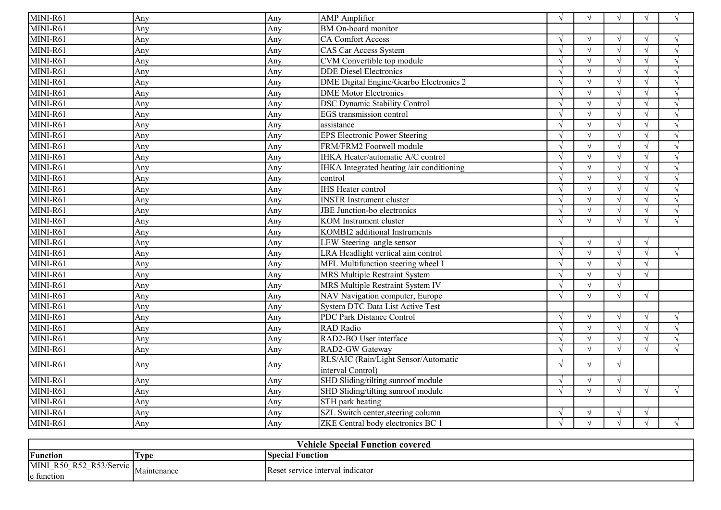| MINI-R61 | Any | Any | <b>AMP</b> Amplifier                           | $\sqrt{ }$    | $\sqrt{ }$ | $\sqrt{ }$ | $\sqrt{ }$ | $\sqrt{ }$ |
|----------|-----|-----|------------------------------------------------|---------------|------------|------------|------------|------------|
| MINI-R61 | Anv | Any | BM On-board monitor                            |               |            |            |            |            |
| MINI-R61 | Any | Any | <b>CA Comfort Access</b>                       | $\sqrt{ }$    |            | $\sqrt{ }$ | $\sqrt{ }$ | $\sqrt{ }$ |
| MINI-R61 | Any | Any | <b>CAS Car Access System</b>                   | $\sqrt{ }$    |            | $\sqrt{}$  |            | $\sqrt{ }$ |
| MINI-R61 | Any | Any | CVM Convertible top module                     | $\sqrt{ }$    |            | $\sqrt{ }$ |            | $\sqrt{ }$ |
| MINI-R61 | Any | Any | <b>DDE</b> Diesel Electronics                  | $\sqrt{ }$    |            | $\sqrt{ }$ |            | $\sqrt{ }$ |
| MINI-R61 | Any | Any | <b>DME</b> Digital Engine/Gearbo Electronics 2 | $\sqrt{ }$    |            | $\sqrt{ }$ |            | $\sqrt{ }$ |
| MINI-R61 | Any | Any | <b>DME</b> Motor Electronics                   |               |            | $\sqrt{ }$ |            | $\sqrt{ }$ |
| MINI-R61 | Any | Any | <b>DSC Dynamic Stability Control</b>           | $\mathcal{N}$ |            | $\sqrt{ }$ |            | $\sqrt{ }$ |
| MINI-R61 | Any | Any | EGS transmission control                       |               |            | $\sqrt{ }$ |            | $\sqrt{ }$ |
| MINI-R61 | Any | Any | assistance                                     | $\sqrt{ }$    |            | $\sqrt{ }$ |            | $\sqrt{ }$ |
| MINI-R61 | Any | Any | <b>EPS Electronic Power Steering</b>           | $\sqrt{ }$    |            | $\sqrt{ }$ |            | $\sqrt{ }$ |
| MINI-R61 | Any | Any | FRM/FRM2 Footwell module                       | $\sqrt{ }$    |            | $\sqrt{ }$ |            | $\sqrt{ }$ |
| MINI-R61 | Any | Any | IHKA Heater/automatic A/C control              | $\sqrt{ }$    |            | $\sqrt{ }$ |            | $\sqrt{ }$ |
| MINI-R61 | Any | Any | IHKA Integrated heating /air conditioning      | $\sqrt{ }$    |            | $\sqrt{ }$ |            | $\sqrt{ }$ |
| MINI-R61 | Any | Any | control                                        | $\sqrt{ }$    |            | $\sqrt{ }$ |            | $\sqrt{ }$ |
| MINI-R61 | Any | Any | <b>IHS Heater control</b>                      | $\sqrt{ }$    |            | $\sqrt{ }$ |            | $\sqrt{ }$ |
| MINI-R61 | Any | Any | <b>INSTR</b> Instrument cluster                | $\sqrt{ }$    |            | $\sqrt{ }$ |            | $\sqrt{ }$ |
| MINI-R61 | Any | Any | JBE Junction-bo electronics                    | $\sqrt{ }$    |            | $\sqrt{ }$ |            | $\sqrt{ }$ |
| MINI-R61 | Any | Any | <b>KOM</b> Instrument cluster                  |               |            | $\sqrt{ }$ |            | $\sqrt{ }$ |
| MINI-R61 | Any | Any | KOMBI2 additional Instruments                  |               |            |            |            |            |
| MINI-R61 | Any | Any | LEW Steering-angle sensor                      | $\sqrt{ }$    |            | $\sqrt{ }$ | $\sqrt{ }$ |            |
| MINI-R61 | Any | Any | LRA Headlight vertical aim control             | $\sqrt{ }$    |            | $\sqrt{ }$ | $\sqrt{ }$ | $\sqrt{ }$ |
| MINI-R61 | Any | Any | MFL Multifunction steering wheel I             | $\sqrt{ }$    |            | $\sqrt{ }$ | $\sqrt{ }$ |            |
| MINI-R61 | Any | Any | <b>MRS Multiple Restraint System</b>           | $\sqrt{ }$    |            | $\sqrt{ }$ | $\sqrt{ }$ |            |
| MINI-R61 | Any | Any | MRS Multiple Restraint System IV               | $\sqrt{ }$    |            | $\sqrt{ }$ |            |            |
| MINI-R61 | Any | Any | NAV Navigation computer, Europe                | $\sqrt{ }$    |            | $\sqrt{ }$ | $\sqrt{ }$ |            |
| MINI-R61 | Any | Any | <b>System DTC Data List Active Test</b>        |               |            |            |            |            |
| MINI-R61 | Any | Any | PDC Park Distance Control                      | $\sqrt{ }$    |            | $\sqrt{ }$ | $\sqrt{ }$ | $\sqrt{ }$ |
| MINI-R61 | Any | Any | <b>RAD</b> Radio                               | $\sqrt{ }$    |            | $\sqrt{ }$ |            | $\sqrt{ }$ |
| MINI-R61 | Anv | Any | RAD2-BO User interface                         | $\sqrt{ }$    |            | $\sqrt{ }$ |            | $\sqrt{ }$ |
| MINI-R61 | Any | Any | RAD2-GW Gateway                                | $\mathcal{N}$ |            | $\sqrt{ }$ | $\sqrt{ }$ | $\sqrt{ }$ |
| MINI-R61 |     | Any | RLS/AIC (Rain/Light Sensor/Automatic           | $\sqrt{ }$    |            | $\sqrt{ }$ |            |            |
|          | Any |     | interval Control)                              |               |            |            |            |            |
| MINI-R61 | Any | Any | SHD Sliding/tilting sunroof module             | $\sqrt{ }$    | $\sqrt{ }$ | $\sqrt{ }$ |            |            |
| MINI-R61 | Any | Any | SHD Sliding/tilting sunroof module             | $\sqrt{ }$    | $\sqrt{ }$ | $\sqrt{ }$ | $\sqrt{ }$ | $\sqrt{ }$ |
| MINI-R61 | Any | Any | STH park heating                               |               |            |            |            |            |
| MINI-R61 | Any | Any | SZL Switch center, steering column             | $\sqrt{ }$    |            | $\sqrt{ }$ | $\sqrt{ }$ |            |
| MINI-R61 | Any | Any | ZKE Central body electronics BC 1              |               |            | $\sqrt{ }$ |            | $\sqrt{ }$ |

| Vehicle Special Function covered                             |                                      |                                  |  |  |  |  |
|--------------------------------------------------------------|--------------------------------------|----------------------------------|--|--|--|--|
| Function                                                     | 'Type                                | <b>ISpecial Function</b>         |  |  |  |  |
| <b>MINI</b><br>R <sub>50</sub> R <sub>52</sub><br>e function | $R$ <sup>53/Servic</sup> Maintenance | Reset service interval indicator |  |  |  |  |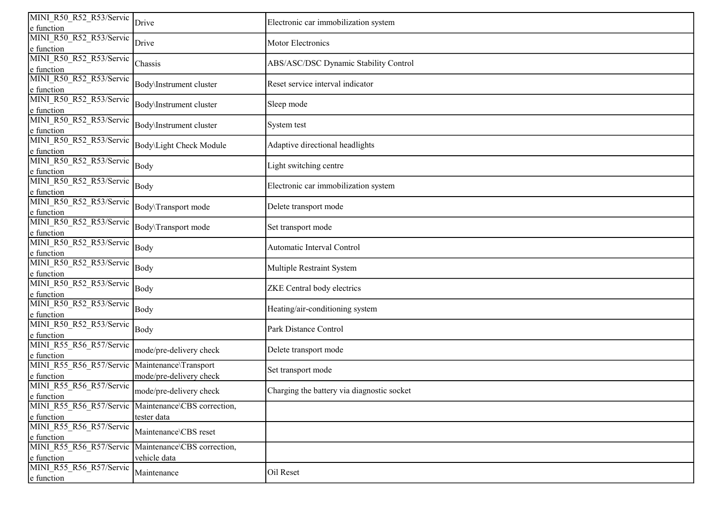| MINI R50 R52 R53/Servic<br>e function                             | Drive                                       | Electronic car immobilization system       |
|-------------------------------------------------------------------|---------------------------------------------|--------------------------------------------|
| MINI R50 R52 R53/Servic                                           |                                             |                                            |
| e function                                                        | Drive                                       | <b>Motor Electronics</b>                   |
| MINI R50 R52 R53/Servic<br>e function                             | Chassis                                     | ABS/ASC/DSC Dynamic Stability Control      |
| MINI R50 R52 R53/Servic<br>e function                             | Body\Instrument cluster                     | Reset service interval indicator           |
| MINI R50 R52 R53/Servic<br>e function                             | Body\Instrument cluster                     | Sleep mode                                 |
| MINI R50 R52 R53/Servic<br>e function                             | Body\Instrument cluster                     | System test                                |
| MINI R50 R52 R53/Servic<br>e function                             | Body\Light Check Module                     | Adaptive directional headlights            |
| MINI R50 R52 R53/Servic<br>e function                             | Body                                        | Light switching centre                     |
| MINI R50 R52 R53/Servic<br>e function                             | Body                                        | Electronic car immobilization system       |
| MINI R50 R52 R53/Servic<br>e function                             | Body\Transport mode                         | Delete transport mode                      |
| MINI R50 R52 R53/Servic<br>e function                             | Body\Transport mode                         | Set transport mode                         |
| MINI R50 R52 R53/Servic<br>e function                             | Body                                        | Automatic Interval Control                 |
| MINI R50_R52_R53/Servic<br>e function                             | Body                                        | Multiple Restraint System                  |
| MINI R50 R52 R53/Servic<br>e function                             | Body                                        | ZKE Central body electrics                 |
| MINI R50 R52 R53/Servic<br>e function                             | Body                                        | Heating/air-conditioning system            |
| MINI R50 R52 R53/Servic<br>e function                             | Body                                        | Park Distance Control                      |
| MINI R55 R56 R57/Servic<br>e function                             | mode/pre-delivery check                     | Delete transport mode                      |
| MINI R55 R56 R57/Servic Maintenance\Transport<br>e function       | mode/pre-delivery check                     | Set transport mode                         |
| MINI R55 R56 R57/Servic<br>e function                             | mode/pre-delivery check                     | Charging the battery via diagnostic socket |
| MINI R55 R56 R57/Servic Maintenance\CBS correction,<br>e function | tester data                                 |                                            |
| MINI R55 R56_R57/Servic<br>e function                             | Maintenance\CBS reset                       |                                            |
| MINI R55 R56 R57/Servic<br>e function                             | Maintenance\CBS correction,<br>vehicle data |                                            |
| MINI R55 R56 R57/Servic<br>e function                             | Maintenance                                 | Oil Reset                                  |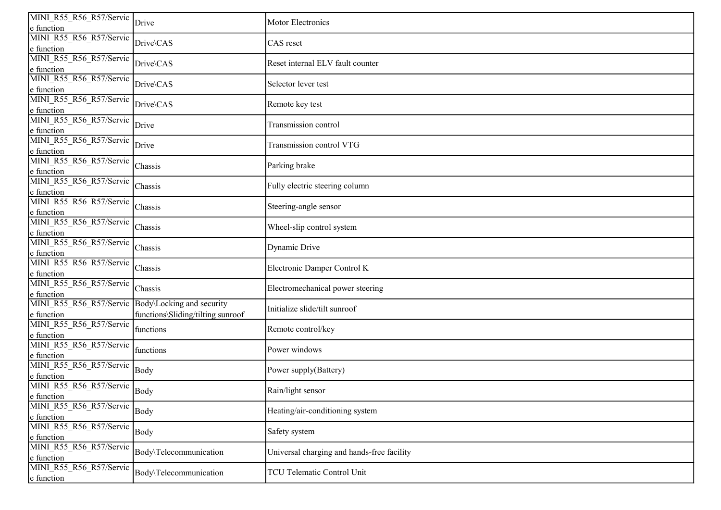| MINI R55 R56 R57/Servic<br>e function                           | Drive                             | <b>Motor Electronics</b>                   |
|-----------------------------------------------------------------|-----------------------------------|--------------------------------------------|
| MINI R55 R56 R57/Servic<br>e function                           | Drive\CAS                         | CAS reset                                  |
| MINI R55 R56 R57/Servic<br>e function                           | Drive\CAS                         | Reset internal ELV fault counter           |
| MINI R55 R56 R57/Servic<br>e function                           | Drive\CAS                         | Selector lever test                        |
| MINI R55 R56 R57/Servic<br>e function                           | Drive\CAS                         | Remote key test                            |
| MINI R55 R56 R57/Servic<br>e function                           | Drive                             | Transmission control                       |
| MINI R55 R56 R57/Servic<br>e function                           | Drive                             | Transmission control VTG                   |
| MINI R55 R56_R57/Servic<br>e function                           | Chassis                           | Parking brake                              |
| MINI R55 R56_R57/Servic<br>e function                           | Chassis                           | Fully electric steering column             |
| MINI R55 R56 R57/Servic<br>e function                           | Chassis                           | Steering-angle sensor                      |
| MINI R55 R56 R57/Servic<br>e function                           | Chassis                           | Wheel-slip control system                  |
| MINI R55 R56 R57/Servic<br>e function                           | Chassis                           | Dynamic Drive                              |
| MINI R55 R56 R57/Servic<br>e function                           | Chassis                           | Electronic Damper Control K                |
| MINI R55 R56 R57/Servic<br>e function                           | Chassis                           | Electromechanical power steering           |
| MINI R55 R56 R57/Servic Body\Locking and security<br>e function | functions\Sliding/tilting sunroof | Initialize slide/tilt sunroof              |
| MINI R55 R56 R57/Servic<br>e function                           | functions                         | Remote control/key                         |
| MINI R55 R56 R57/Servic<br>e function                           | functions                         | Power windows                              |
| MINI R55 R56 R57/Servic<br>e function                           | Body                              | Power supply(Battery)                      |
| MINI_R55_R56_R57/Servic                                         | Body                              | Rain/light sensor                          |
| e function<br>MINI_R55_R56_R57/Servic<br>e function             | Body                              | Heating/air-conditioning system            |
| MINI_R55_R56_R57/Servic<br>e function                           | Body                              | Safety system                              |
| MINI_R55_R56_R57/Servic<br>e function                           | Body\Telecommunication            | Universal charging and hands-free facility |
| MINI_R55_R56_R57/Servic<br>e function                           | Body\Telecommunication            | TCU Telematic Control Unit                 |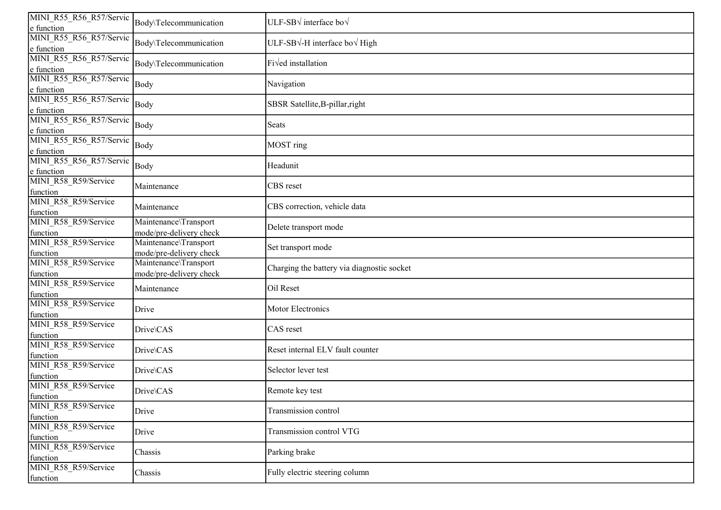| MINI R55_R56_R57/Servic<br>e function          | Body\Telecommunication                           | ULF-SB $\sqrt{}$ interface bo $\sqrt{}$    |
|------------------------------------------------|--------------------------------------------------|--------------------------------------------|
| MINI R55 R56 R57/Servic<br>e function          | Body\Telecommunication                           | ULF-SB√-H interface bo√ High               |
| MINI R55 R56 R57/Servic<br>e function          | Body\Telecommunication                           | Fived installation                         |
| MINI R55 R56 R57/Servic<br>e function          | Body                                             | Navigation                                 |
| MINI R55 R56 R57/Servic<br>e function          | Body                                             | SBSR Satellite, B-pillar, right            |
| MINI R55_R56_R57/Servic<br>e function          | Body                                             | Seats                                      |
| MINI R55 R56 R57/Servic<br>e function          | Body                                             | MOST ring                                  |
| MINI R55_R56_R57/Servic                        | Body                                             | Headunit                                   |
| e function<br>MINI_R58_R59/Service<br>function | Maintenance                                      | CBS reset                                  |
| MINI R58 R59/Service<br>function               | Maintenance                                      | CBS correction, vehicle data               |
| MINI R58 R59/Service<br>function               | Maintenance\Transport<br>mode/pre-delivery check | Delete transport mode                      |
| MINI R58 R59/Service<br>function               | Maintenance\Transport<br>mode/pre-delivery check | Set transport mode                         |
| MINI R58 R59/Service<br>function               | Maintenance\Transport<br>mode/pre-delivery check | Charging the battery via diagnostic socket |
| MINI R58 R59/Service<br>function               | Maintenance                                      | Oil Reset                                  |
| MINI R58 R59/Service<br>function               | Drive                                            | Motor Electronics                          |
| MINI R58 R59/Service<br>function               | Drive\CAS                                        | CAS reset                                  |
| MINI R58 R59/Service<br>function               | Drive\CAS                                        | Reset internal ELV fault counter           |
| MINI R58 R59/Service<br>function               | Drive\CAS                                        | Selector lever test                        |
| MINI R58_R59/Service                           | Drive\CAS                                        | Remote key test                            |
| function<br>MINI_R58_R59/Service<br>function   | Drive                                            | Transmission control                       |
| MINI_R58_R59/Service<br>function               | Drive                                            | Transmission control VTG                   |
| MINI_R58_R59/Service<br>function               | Chassis                                          | Parking brake                              |
| MINI_R58_R59/Service<br>function               | Chassis                                          | Fully electric steering column             |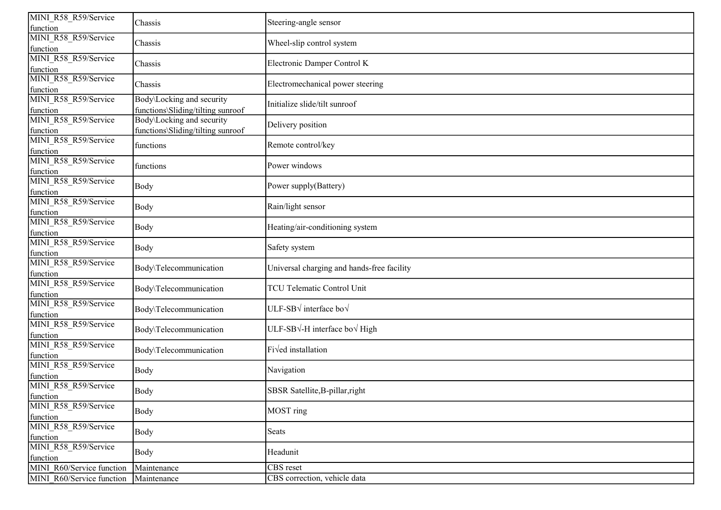| MINI R58 R59/Service<br>function | Chassis                                                        | Steering-angle sensor                                |
|----------------------------------|----------------------------------------------------------------|------------------------------------------------------|
| MINI R58 R59/Service<br>function | Chassis                                                        | Wheel-slip control system                            |
| MINI R58 R59/Service<br>function | Chassis                                                        | Electronic Damper Control K                          |
| MINI R58 R59/Service<br>function | Chassis                                                        | Electromechanical power steering                     |
| MINI R58 R59/Service<br>function | Body\Locking and security<br>functions\Sliding/tilting sunroof | Initialize slide/tilt sunroof                        |
| MINI R58 R59/Service<br>function | Body\Locking and security<br>functions\Sliding/tilting sunroof | Delivery position                                    |
| MINI R58 R59/Service<br>function | functions                                                      | Remote control/key                                   |
| MINI R58 R59/Service<br>function | functions                                                      | Power windows                                        |
| MINI R58 R59/Service<br>function | Body                                                           | Power supply(Battery)                                |
| MINI R58 R59/Service<br>function | Body                                                           | Rain/light sensor                                    |
| MINI R58 R59/Service<br>function | Body                                                           | Heating/air-conditioning system                      |
| MINI R58 R59/Service<br>function | Body                                                           | Safety system                                        |
| MINI R58 R59/Service<br>function | Body\Telecommunication                                         | Universal charging and hands-free facility           |
| MINI R58 R59/Service<br>function | Body\Telecommunication                                         | <b>TCU Telematic Control Unit</b>                    |
| MINI R58 R59/Service<br>function | Body\Telecommunication                                         | ULF-SB $\sqrt{}$ interface bo $\sqrt{}$              |
| MINI R58 R59/Service<br>function | Body\Telecommunication                                         | ULF-SB $\sqrt{-H}$ interface bo $\sqrt{\text{High}}$ |
| MINI R58 R59/Service<br>function | Body\Telecommunication                                         | Fi√ed installation                                   |
| MINI R58 R59/Service<br>function | Body                                                           | Navigation                                           |
| MINI_R58_R59/Service<br>function | Body                                                           | SBSR Satellite, B-pillar, right                      |
| MINI_R58_R59/Service<br>function | <b>Body</b>                                                    | MOST ring                                            |
| MINI_R58_R59/Service<br>function | Body                                                           | Seats                                                |
| MINI_R58_R59/Service<br>function | Body                                                           | Headunit                                             |
| MINI_R60/Service function        | Maintenance                                                    | CBS reset                                            |
| MINI R60/Service function        | Maintenance                                                    | CBS correction, vehicle data                         |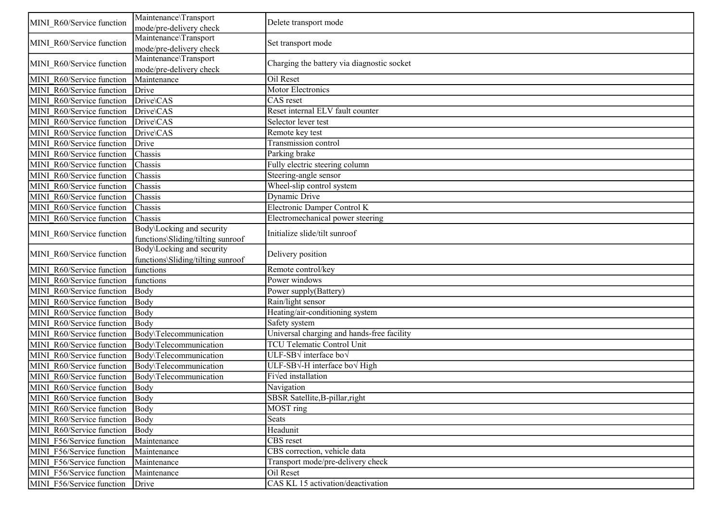| MINI R60/Service function | Maintenance\Transport<br>mode/pre-delivery check               | Delete transport mode                           |
|---------------------------|----------------------------------------------------------------|-------------------------------------------------|
| MINI R60/Service function | Maintenance\Transport<br>mode/pre-delivery check               | Set transport mode                              |
| MINI R60/Service function | Maintenance\Transport<br>mode/pre-delivery check               | Charging the battery via diagnostic socket      |
| MINI R60/Service function | Maintenance                                                    | Oil Reset                                       |
| MINI R60/Service function | Drive                                                          | Motor Electronics                               |
| MINI R60/Service function | Drive\CAS                                                      | CAS reset                                       |
| MINI R60/Service function | Drive\CAS                                                      | Reset internal ELV fault counter                |
| MINI R60/Service function | Drive\CAS                                                      | Selector lever test                             |
| MINI R60/Service function | Drive\CAS                                                      | Remote key test                                 |
| MINI R60/Service function | Drive                                                          | Transmission control                            |
| MINI R60/Service function | Chassis                                                        | Parking brake                                   |
| MINI R60/Service function | Chassis                                                        | Fully electric steering column                  |
| MINI R60/Service function | Chassis                                                        | Steering-angle sensor                           |
| MINI R60/Service function | Chassis                                                        | Wheel-slip control system                       |
| MINI R60/Service function | Chassis                                                        | Dynamic Drive                                   |
| MINI R60/Service function | Chassis                                                        | Electronic Damper Control K                     |
| MINI R60/Service function | Chassis                                                        | Electromechanical power steering                |
| MINI R60/Service function | Body\Locking and security<br>functions\Sliding/tilting sunroof | Initialize slide/tilt sunroof                   |
| MINI R60/Service function | Body\Locking and security<br>functions\Sliding/tilting sunroof | Delivery position                               |
| MINI R60/Service function | functions                                                      | Remote control/key                              |
| MINI R60/Service function | functions                                                      | Power windows                                   |
| MINI R60/Service function | Body                                                           | Power supply(Battery)                           |
| MINI R60/Service function | Body                                                           | Rain/light sensor                               |
| MINI R60/Service function | Body                                                           | Heating/air-conditioning system                 |
| MINI R60/Service function | Body                                                           | Safety system                                   |
| MINI R60/Service function | Body\Telecommunication                                         | Universal charging and hands-free facility      |
| MINI R60/Service function | Body\Telecommunication                                         | <b>TCU Telematic Control Unit</b>               |
| MINI R60/Service function | Body\Telecommunication                                         | ULF-SB $\sqrt$ interface bo $\sqrt$             |
| MINI R60/Service function | Body\Telecommunication                                         | ULF-SB $\sqrt{}$ -H interface bo $\sqrt{}$ High |
| MINI R60/Service function | Body\Telecommunication                                         | Fived installation                              |
| MINI R60/Service function | Body                                                           | Navigation                                      |
| MINI R60/Service function | Body                                                           | SBSR Satellite, B-pillar, right                 |
| MINI R60/Service function | Body                                                           | MOST ring                                       |
| MINI R60/Service function | Body                                                           | Seats                                           |
| MINI R60/Service function | Body                                                           | Headunit                                        |
| MINI F56/Service function | Maintenance                                                    | <b>CBS</b> reset                                |
| MINI F56/Service function | Maintenance                                                    | CBS correction, vehicle data                    |
| MINI F56/Service function | Maintenance                                                    | Transport mode/pre-delivery check               |
| MINI F56/Service function | Maintenance                                                    | Oil Reset                                       |
| MINI F56/Service function | Drive                                                          | CAS KL 15 activation/deactivation               |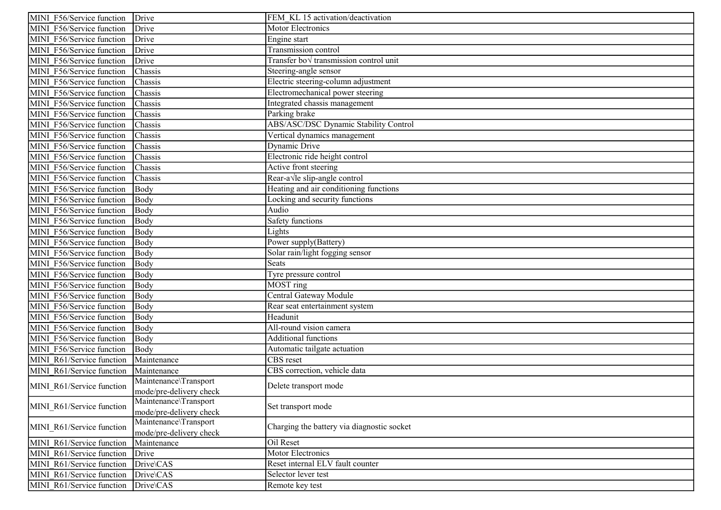| MINI F56/Service function | Drive                   | FEM KL 15 activation/deactivation          |
|---------------------------|-------------------------|--------------------------------------------|
| MINI F56/Service function | Drive                   | Motor Electronics                          |
| MINI F56/Service function | Drive                   | Engine start                               |
| MINI F56/Service function | Drive                   | Transmission control                       |
| MINI F56/Service function | Drive                   | Transfer bov transmission control unit     |
| MINI F56/Service function | Chassis                 | Steering-angle sensor                      |
| MINI F56/Service function | Chassis                 | Electric steering-column adjustment        |
| MINI F56/Service function | Chassis                 | Electromechanical power steering           |
| MINI F56/Service function | Chassis                 | Integrated chassis management              |
| MINI F56/Service function | Chassis                 | Parking brake                              |
| MINI F56/Service function | Chassis                 | ABS/ASC/DSC Dynamic Stability Control      |
| MINI F56/Service function | Chassis                 | Vertical dynamics management               |
| MINI F56/Service function | Chassis                 | Dynamic Drive                              |
| MINI F56/Service function | Chassis                 | Electronic ride height control             |
| MINI F56/Service function | Chassis                 | Active front steering                      |
| MINI F56/Service function | Chassis                 | Rear-a Vle slip-angle control              |
| MINI F56/Service function | Body                    | Heating and air conditioning functions     |
| MINI F56/Service function | Body                    | Locking and security functions             |
| MINI F56/Service function | Body                    | Audio                                      |
| MINI F56/Service function | Body                    | Safety functions                           |
| MINI F56/Service function | Body                    | Lights                                     |
| MINI F56/Service function | Body                    | Power supply(Battery)                      |
| MINI F56/Service function | Body                    | Solar rain/light fogging sensor            |
| MINI F56/Service function | Body                    | Seats                                      |
| MINI F56/Service function | Body                    | Tyre pressure control                      |
| MINI F56/Service function | Body                    | $MOST$ ring                                |
| MINI F56/Service function | Body                    | Central Gateway Module                     |
| MINI F56/Service function | Body                    | Rear seat entertainment system             |
| MINI F56/Service function | Body                    | Headunit                                   |
| MINI F56/Service function | Body                    | All-round vision camera                    |
| MINI F56/Service function | Body                    | <b>Additional functions</b>                |
| MINI F56/Service function | Body                    | Automatic tailgate actuation               |
| MINI R61/Service function | Maintenance             | <b>CBS</b> reset                           |
| MINI R61/Service function | Maintenance             | CBS correction, vehicle data               |
| MINI R61/Service function | Maintenance\Transport   | Delete transport mode                      |
|                           | mode/pre-delivery check |                                            |
| MINI R61/Service function | Maintenance\Transport   | Set transport mode                         |
|                           | mode/pre-delivery check |                                            |
| MINI R61/Service function | Maintenance\Transport   | Charging the battery via diagnostic socket |
|                           | mode/pre-delivery check |                                            |
| MINI R61/Service function | Maintenance             | Oil Reset                                  |
| MINI R61/Service function | Drive                   | Motor Electronics                          |
| MINI R61/Service function | Drive\CAS               | Reset internal ELV fault counter           |
| MINI R61/Service function | Drive\CAS               | Selector lever test                        |
| MINI R61/Service function | Drive\CAS               | Remote key test                            |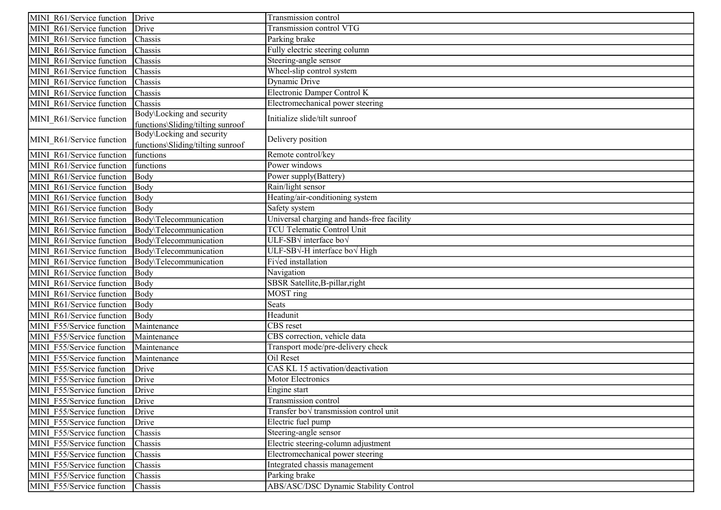| MINI R61/Service function | Drive                                                          | Transmission control                          |
|---------------------------|----------------------------------------------------------------|-----------------------------------------------|
| MINI R61/Service function | Drive                                                          | Transmission control VTG                      |
| MINI R61/Service function | Chassis                                                        | Parking brake                                 |
| MINI R61/Service function | Chassis                                                        | Fully electric steering column                |
| MINI R61/Service function | Chassis                                                        | Steering-angle sensor                         |
| MINI R61/Service function | Chassis                                                        | Wheel-slip control system                     |
| MINI R61/Service function | Chassis                                                        | Dynamic Drive                                 |
| MINI R61/Service function | Chassis                                                        | Electronic Damper Control K                   |
| MINI R61/Service function | Chassis                                                        | Electromechanical power steering              |
| MINI R61/Service function | Body\Locking and security<br>functions\Sliding/tilting sunroof | Initialize slide/tilt sunroof                 |
| MINI R61/Service function | Body\Locking and security<br>functions\Sliding/tilting sunroof | Delivery position                             |
| MINI R61/Service function | functions                                                      | Remote control/key                            |
| MINI R61/Service function | functions                                                      | Power windows                                 |
| MINI R61/Service function | Body                                                           | Power supply(Battery)                         |
| MINI R61/Service function | Body                                                           | Rain/light sensor                             |
| MINI R61/Service function | Body                                                           | Heating/air-conditioning system               |
| MINI R61/Service function | Body                                                           | Safety system                                 |
| MINI R61/Service function | Body\Telecommunication                                         | Universal charging and hands-free facility    |
| MINI R61/Service function | Body\Telecommunication                                         | <b>TCU Telematic Control Unit</b>             |
| MINI R61/Service function | Body\Telecommunication                                         | ULF-SB $\sqrt$ interface bo $\sqrt$           |
| MINI R61/Service function | Body\Telecommunication                                         | ULF-SB√-H interface bo√ High                  |
| MINI R61/Service function | Body\Telecommunication                                         | Fi√ed installation                            |
| MINI R61/Service function | Body                                                           | Navigation                                    |
| MINI R61/Service function | Body                                                           | SBSR Satellite, B-pillar, right               |
| MINI R61/Service function | Body                                                           | MOST ring                                     |
| MINI R61/Service function | Body                                                           | Seats                                         |
| MINI R61/Service function | Body                                                           | Headunit                                      |
| MINI F55/Service function | Maintenance                                                    | CBS reset                                     |
| MINI F55/Service function | Maintenance                                                    | CBS correction, vehicle data                  |
| MINI F55/Service function | Maintenance                                                    | Transport mode/pre-delivery check             |
| MINI F55/Service function | Maintenance                                                    | Oil Reset                                     |
| MINI F55/Service function | Drive                                                          | CAS KL 15 activation/deactivation             |
| MINI F55/Service function | Drive                                                          | Motor Electronics                             |
| MINI F55/Service function | Drive                                                          | Engine start                                  |
| MINI F55/Service function | Drive                                                          | Transmission control                          |
| MINI F55/Service function | Drive                                                          | Transfer bo $\sqrt$ transmission control unit |
| MINI F55/Service function | Drive                                                          | Electric fuel pump                            |
| MINI F55/Service function | Chassis                                                        | Steering-angle sensor                         |
| MINI F55/Service function | Chassis                                                        | Electric steering-column adjustment           |
| MINI F55/Service function | Chassis                                                        | Electromechanical power steering              |
| MINI F55/Service function | Chassis                                                        | Integrated chassis management                 |
| MINI F55/Service function | Chassis                                                        | Parking brake                                 |
| MINI F55/Service function | Chassis                                                        | ABS/ASC/DSC Dynamic Stability Control         |